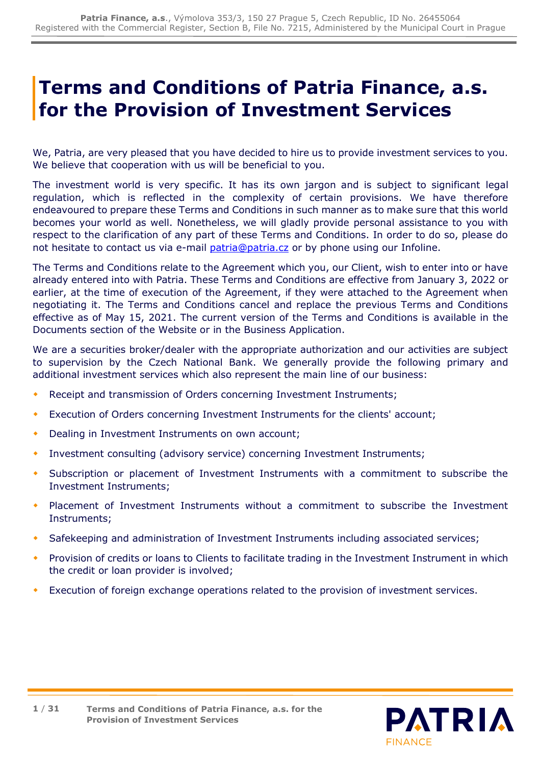# **Terms and Conditions of Patria Finance, a.s. for the Provision of Investment Services**

We, Patria, are very pleased that you have decided to hire us to provide investment services to you. We believe that cooperation with us will be beneficial to you.

The investment world is very specific. It has its own jargon and is subject to significant legal regulation, which is reflected in the complexity of certain provisions. We have therefore endeavoured to prepare these Terms and Conditions in such manner as to make sure that this world becomes your world as well. Nonetheless, we will gladly provide personal assistance to you with respect to the clarification of any part of these Terms and Conditions. In order to do so, please do not hesitate to contact us via e-mail *patria@patria.cz* or by phone using our Infoline.

The Terms and Conditions relate to the Agreement which you, our Client, wish to enter into or have already entered into with Patria. These Terms and Conditions are effective from January 3, 2022 or earlier, at the time of execution of the Agreement, if they were attached to the Agreement when negotiating it. The Terms and Conditions cancel and replace the previous Terms and Conditions effective as of May 15, 2021. The current version of the Terms and Conditions is available in the Documents section of the Website or in the Business Application.

We are a securities broker/dealer with the appropriate authorization and our activities are subject to supervision by the Czech National Bank. We generally provide the following primary and additional investment services which also represent the main line of our business:

- Receipt and transmission of Orders concerning Investment Instruments;
- Execution of Orders concerning Investment Instruments for the clients' account;
- Dealing in Investment Instruments on own account;
- Investment consulting (advisory service) concerning Investment Instruments;
- Subscription or placement of Investment Instruments with a commitment to subscribe the Investment Instruments;
- Placement of Investment Instruments without a commitment to subscribe the Investment Instruments;
- Safekeeping and administration of Investment Instruments including associated services;
- Provision of credits or loans to Clients to facilitate trading in the Investment Instrument in which the credit or loan provider is involved;
- Execution of foreign exchange operations related to the provision of investment services.

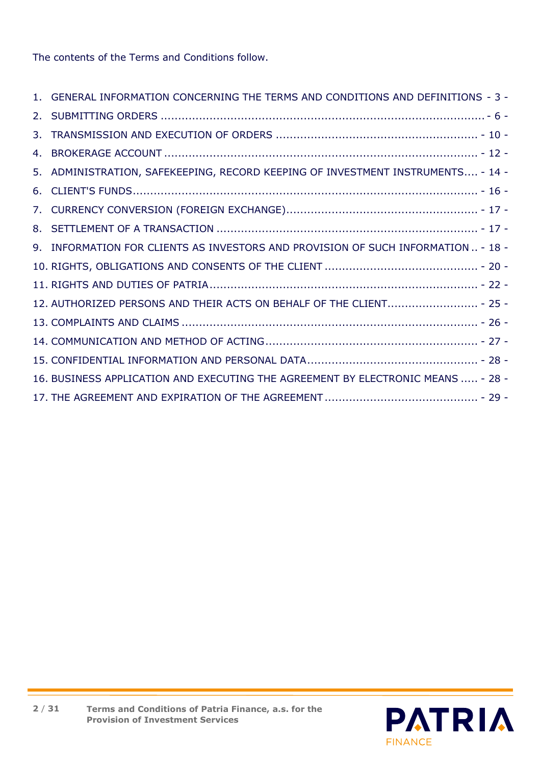The contents of the Terms and Conditions follow.

| 1. GENERAL INFORMATION CONCERNING THE TERMS AND CONDITIONS AND DEFINITIONS - 3 -  |
|-----------------------------------------------------------------------------------|
|                                                                                   |
|                                                                                   |
|                                                                                   |
| 5. ADMINISTRATION, SAFEKEEPING, RECORD KEEPING OF INVESTMENT INSTRUMENTS - 14 -   |
|                                                                                   |
|                                                                                   |
|                                                                                   |
| 9. INFORMATION FOR CLIENTS AS INVESTORS AND PROVISION OF SUCH INFORMATION  - 18 - |
|                                                                                   |
|                                                                                   |
| 12. AUTHORIZED PERSONS AND THEIR ACTS ON BEHALF OF THE CLIENT - 25 -              |
|                                                                                   |
|                                                                                   |
|                                                                                   |
| 16. BUSINESS APPLICATION AND EXECUTING THE AGREEMENT BY ELECTRONIC MEANS  - 28 -  |
|                                                                                   |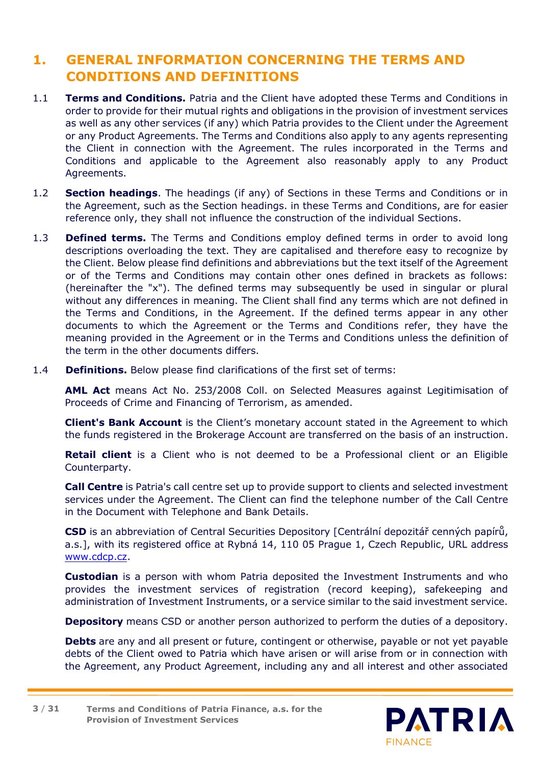# <span id="page-2-0"></span>**1. GENERAL INFORMATION CONCERNING THE TERMS AND CONDITIONS AND DEFINITIONS**

- 1.1 **Terms and Conditions.** Patria and the Client have adopted these Terms and Conditions in order to provide for their mutual rights and obligations in the provision of investment services as well as any other services (if any) which Patria provides to the Client under the Agreement or any Product Agreements. The Terms and Conditions also apply to any agents representing the Client in connection with the Agreement. The rules incorporated in the Terms and Conditions and applicable to the Agreement also reasonably apply to any Product Agreements.
- 1.2 **Section headings**. The headings (if any) of Sections in these Terms and Conditions or in the Agreement, such as the Section headings. in these Terms and Conditions, are for easier reference only, they shall not influence the construction of the individual Sections.
- 1.3 **Defined terms.** The Terms and Conditions employ defined terms in order to avoid long descriptions overloading the text. They are capitalised and therefore easy to recognize by the Client. Below please find definitions and abbreviations but the text itself of the Agreement or of the Terms and Conditions may contain other ones defined in brackets as follows: (hereinafter the "x"). The defined terms may subsequently be used in singular or plural without any differences in meaning. The Client shall find any terms which are not defined in the Terms and Conditions, in the Agreement. If the defined terms appear in any other documents to which the Agreement or the Terms and Conditions refer, they have the meaning provided in the Agreement or in the Terms and Conditions unless the definition of the term in the other documents differs.
- 1.4 **Definitions.** Below please find clarifications of the first set of terms:

**AML Act** means Act No. 253/2008 Coll. on Selected Measures against Legitimisation of Proceeds of Crime and Financing of Terrorism, as amended.

**Client's Bank Account** is the Client's monetary account stated in the Agreement to which the funds registered in the Brokerage Account are transferred on the basis of an instruction.

**Retail client** is a Client who is not deemed to be a Professional client or an Eligible Counterparty.

**Call Centre** is Patria's call centre set up to provide support to clients and selected investment services under the Agreement. The Client can find the telephone number of the Call Centre in the Document with Telephone and Bank Details.

**CSD** is an abbreviation of Central Securities Depository [Centrální depozitář cenných papírů, a.s.], with its registered office at Rybná 14, 110 05 Prague 1, Czech Republic, URL address [www.cdcp.cz.](http://www.cdcp.cz/)

**Custodian** is a person with whom Patria deposited the Investment Instruments and who provides the investment services of registration (record keeping), safekeeping and administration of Investment Instruments, or a service similar to the said investment service.

**Depository** means CSD or another person authorized to perform the duties of a depository.

**Debts** are any and all present or future, contingent or otherwise, payable or not yet payable debts of the Client owed to Patria which have arisen or will arise from or in connection with the Agreement, any Product Agreement, including any and all interest and other associated

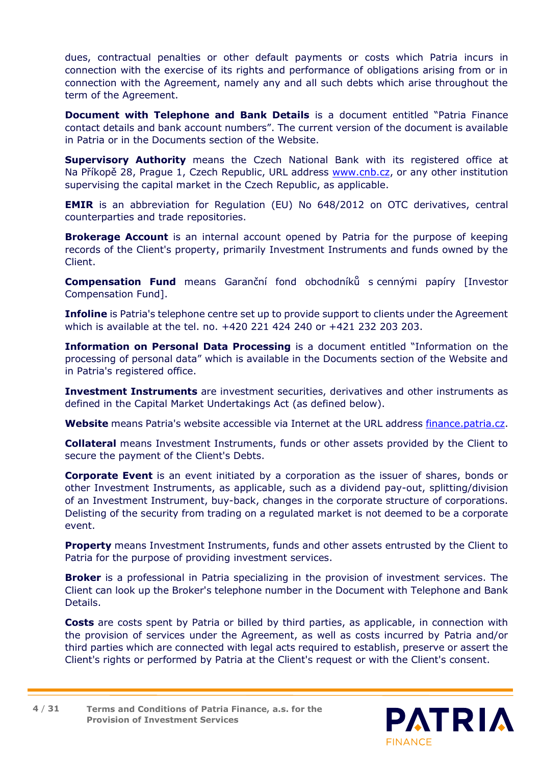dues, contractual penalties or other default payments or costs which Patria incurs in connection with the exercise of its rights and performance of obligations arising from or in connection with the Agreement, namely any and all such debts which arise throughout the term of the Agreement.

**Document with Telephone and Bank Details** is a document entitled "Patria Finance contact details and bank account numbers". The current version of the document is available in Patria or in the Documents section of the Website.

**Supervisory Authority** means the Czech National Bank with its registered office at Na Příkopě 28, Prague 1, Czech Republic, URL address [www.cnb.cz,](http://www.cnb.cz/) or any other institution supervising the capital market in the Czech Republic, as applicable.

**EMIR** is an abbreviation for Regulation (EU) No 648/2012 on OTC derivatives, central counterparties and trade repositories.

**Brokerage Account** is an internal account opened by Patria for the purpose of keeping records of the Client's property, primarily Investment Instruments and funds owned by the Client.

**Compensation Fund** means Garanční fond obchodníků s cennými papíry [Investor Compensation Fund].

**Infoline** is Patria's telephone centre set up to provide support to clients under the Agreement which is available at the tel. no. +420 221 424 240 or +421 232 203 203.

**Information on Personal Data Processing** is a document entitled "Information on the processing of personal data" which is available in the Documents section of the Website and in Patria's registered office.

**Investment Instruments** are investment securities, derivatives and other instruments as defined in the Capital Market Undertakings Act (as defined below).

**Website** means Patria's website accessible via Internet at the URL address [finance.patria.cz.](https://finance.patria.cz/)

**Collateral** means Investment Instruments, funds or other assets provided by the Client to secure the payment of the Client's Debts.

**Corporate Event** is an event initiated by a corporation as the issuer of shares, bonds or other Investment Instruments, as applicable, such as a dividend pay-out, splitting/division of an Investment Instrument, buy-back, changes in the corporate structure of corporations. Delisting of the security from trading on a regulated market is not deemed to be a corporate event.

**Property** means Investment Instruments, funds and other assets entrusted by the Client to Patria for the purpose of providing investment services.

**Broker** is a professional in Patria specializing in the provision of investment services. The Client can look up the Broker's telephone number in the Document with Telephone and Bank Details.

**Costs** are costs spent by Patria or billed by third parties, as applicable, in connection with the provision of services under the Agreement, as well as costs incurred by Patria and/or third parties which are connected with legal acts required to establish, preserve or assert the Client's rights or performed by Patria at the Client's request or with the Client's consent.

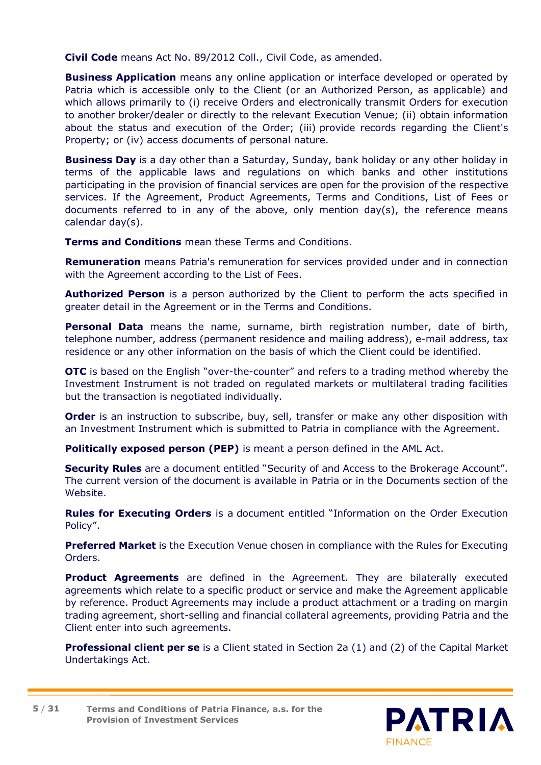**Civil Code** means Act No. 89/2012 Coll., Civil Code, as amended.

**Business Application** means any online application or interface developed or operated by Patria which is accessible only to the Client (or an Authorized Person, as applicable) and which allows primarily to (i) receive Orders and electronically transmit Orders for execution to another broker/dealer or directly to the relevant Execution Venue; (ii) obtain information about the status and execution of the Order; (iii) provide records regarding the Client's Property; or (iv) access documents of personal nature.

**Business Day** is a day other than a Saturday, Sunday, bank holiday or any other holiday in terms of the applicable laws and regulations on which banks and other institutions participating in the provision of financial services are open for the provision of the respective services. If the Agreement, Product Agreements, Terms and Conditions, List of Fees or documents referred to in any of the above, only mention day(s), the reference means calendar day(s).

**Terms and Conditions** mean these Terms and Conditions.

**Remuneration** means Patria's remuneration for services provided under and in connection with the Agreement according to the List of Fees.

**Authorized Person** is a person authorized by the Client to perform the acts specified in greater detail in the Agreement or in the Terms and Conditions.

**Personal Data** means the name, surname, birth registration number, date of birth, telephone number, address (permanent residence and mailing address), e-mail address, tax residence or any other information on the basis of which the Client could be identified.

**OTC** is based on the English "over-the-counter" and refers to a trading method whereby the Investment Instrument is not traded on regulated markets or multilateral trading facilities but the transaction is negotiated individually.

**Order** is an instruction to subscribe, buy, sell, transfer or make any other disposition with an Investment Instrument which is submitted to Patria in compliance with the Agreement.

**Politically exposed person (PEP)** is meant a person defined in the AML Act.

**Security Rules** are a document entitled "Security of and Access to the Brokerage Account". The current version of the document is available in Patria or in the Documents section of the Website.

**Rules for Executing Orders** is a document entitled "Information on the Order Execution Policy".

**Preferred Market** is the Execution Venue chosen in compliance with the Rules for Executing Orders.

**Product Agreements** are defined in the Agreement. They are bilaterally executed agreements which relate to a specific product or service and make the Agreement applicable by reference. Product Agreements may include a product attachment or a trading on margin trading agreement, short-selling and financial collateral agreements, providing Patria and the Client enter into such agreements.

**Professional client per se** is a Client stated in Section 2a (1) and (2) of the Capital Market Undertakings Act.

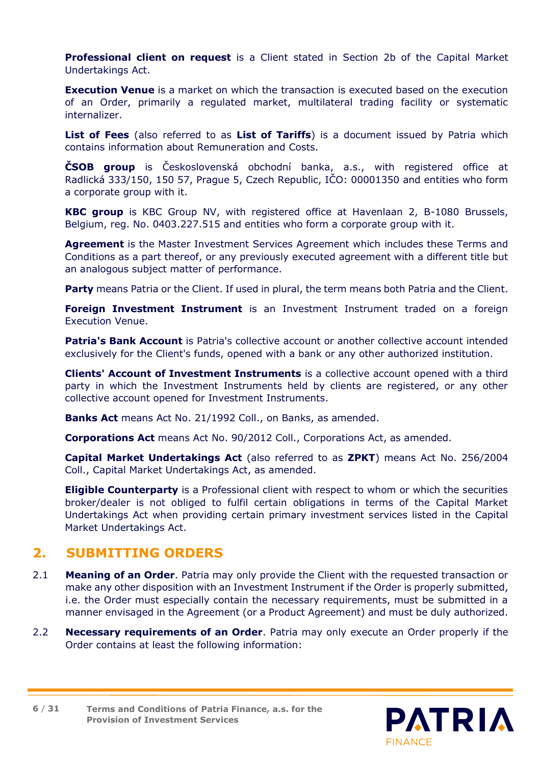**Professional client on request** is a Client stated in Section 2b of the Capital Market Undertakings Act.

**Execution Venue** is a market on which the transaction is executed based on the execution of an Order, primarily a regulated market, multilateral trading facility or systematic internalizer.

**List of Fees** (also referred to as **List of Tariffs**) is a document issued by Patria which contains information about Remuneration and Costs.

**ČSOB group** is Československá obchodní banka, a.s., with registered office at Radlická 333/150, 150 57, Prague 5, Czech Republic, IČO: 00001350 and entities who form a corporate group with it.

**KBC group** is KBC Group NV, with registered office at Havenlaan 2, B-1080 Brussels, Belgium, reg. No. 0403.227.515 and entities who form a corporate group with it.

**Agreement** is the Master Investment Services Agreement which includes these Terms and Conditions as a part thereof, or any previously executed agreement with a different title but an analogous subject matter of performance.

Party means Patria or the Client. If used in plural, the term means both Patria and the Client.

**Foreign Investment Instrument** is an Investment Instrument traded on a foreign Execution Venue.

**Patria's Bank Account** is Patria's collective account or another collective account intended exclusively for the Client's funds, opened with a bank or any other authorized institution.

**Clients' Account of Investment Instruments** is a collective account opened with a third party in which the Investment Instruments held by clients are registered, or any other collective account opened for Investment Instruments.

**Banks Act** means Act No. 21/1992 Coll., on Banks, as amended.

**Corporations Act** means Act No. 90/2012 Coll., Corporations Act, as amended.

**Capital Market Undertakings Act** (also referred to as **ZPKT**) means Act No. 256/2004 Coll., Capital Market Undertakings Act, as amended.

**Eligible Counterparty** is a Professional client with respect to whom or which the securities broker/dealer is not obliged to fulfil certain obligations in terms of the Capital Market Undertakings Act when providing certain primary investment services listed in the Capital Market Undertakings Act.

### <span id="page-5-0"></span>**2. SUBMITTING ORDERS**

- 2.1 **Meaning of an Order**. Patria may only provide the Client with the requested transaction or make any other disposition with an Investment Instrument if the Order is properly submitted, i.e. the Order must especially contain the necessary requirements, must be submitted in a manner envisaged in the Agreement (or a Product Agreement) and must be duly authorized.
- 2.2 **Necessary requirements of an Order**. Patria may only execute an Order properly if the Order contains at least the following information:

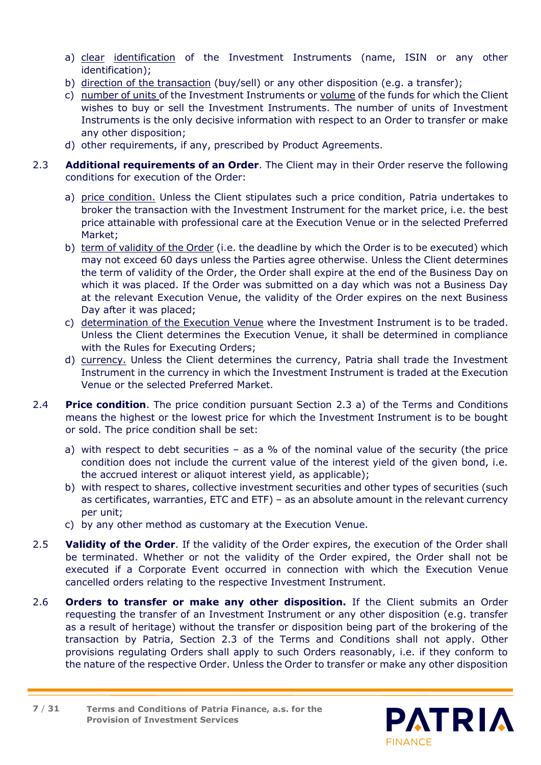- a) clear identification of the Investment Instruments (name, ISIN or any other identification);
- b) direction of the transaction (buy/sell) or any other disposition (e.g. a transfer);
- c) number of units of the Investment Instruments or volume of the funds for which the Client wishes to buy or sell the Investment Instruments. The number of units of Investment Instruments is the only decisive information with respect to an Order to transfer or make any other disposition;
- d) other requirements, if any, prescribed by Product Agreements.
- <span id="page-6-1"></span><span id="page-6-0"></span>2.3 **Additional requirements of an Order**. The Client may in their Order reserve the following conditions for execution of the Order:
	- a) price condition. Unless the Client stipulates such a price condition, Patria undertakes to broker the transaction with the Investment Instrument for the market price, i.e. the best price attainable with professional care at the Execution Venue or in the selected Preferred Market;
	- b) term of validity of the Order (i.e. the deadline by which the Order is to be executed) which may not exceed 60 days unless the Parties agree otherwise. Unless the Client determines the term of validity of the Order, the Order shall expire at the end of the Business Day on which it was placed. If the Order was submitted on a day which was not a Business Day at the relevant Execution Venue, the validity of the Order expires on the next Business Day after it was placed;
	- c) determination of the Execution Venue where the Investment Instrument is to be traded. Unless the Client determines the Execution Venue, it shall be determined in compliance with the Rules for Executing Orders;
	- d) currency. Unless the Client determines the currency, Patria shall trade the Investment Instrument in the currency in which the Investment Instrument is traded at the Execution Venue or the selected Preferred Market.
- 2.4 **Price condition**. The price condition pursuant Section [2.3](#page-6-0) [a\)](#page-6-1) of the Terms and Conditions means the highest or the lowest price for which the Investment Instrument is to be bought or sold. The price condition shall be set:
	- a) with respect to debt securities  $-$  as a % of the nominal value of the security (the price condition does not include the current value of the interest yield of the given bond, i.e. the accrued interest or aliquot interest yield, as applicable);
	- b) with respect to shares, collective investment securities and other types of securities (such as certificates, warranties, ETC and ETF) – as an absolute amount in the relevant currency per unit;
	- c) by any other method as customary at the Execution Venue.
- 2.5 **Validity of the Order**. If the validity of the Order expires, the execution of the Order shall be terminated. Whether or not the validity of the Order expired, the Order shall not be executed if a Corporate Event occurred in connection with which the Execution Venue cancelled orders relating to the respective Investment Instrument.
- 2.6 **Orders to transfer or make any other disposition.** If the Client submits an Order requesting the transfer of an Investment Instrument or any other disposition (e.g. transfer as a result of heritage) without the transfer or disposition being part of the brokering of the transaction by Patria, Section [2.3](#page-6-0) of the Terms and Conditions shall not apply. Other provisions regulating Orders shall apply to such Orders reasonably, i.e. if they conform to the nature of the respective Order. Unless the Order to transfer or make any other disposition

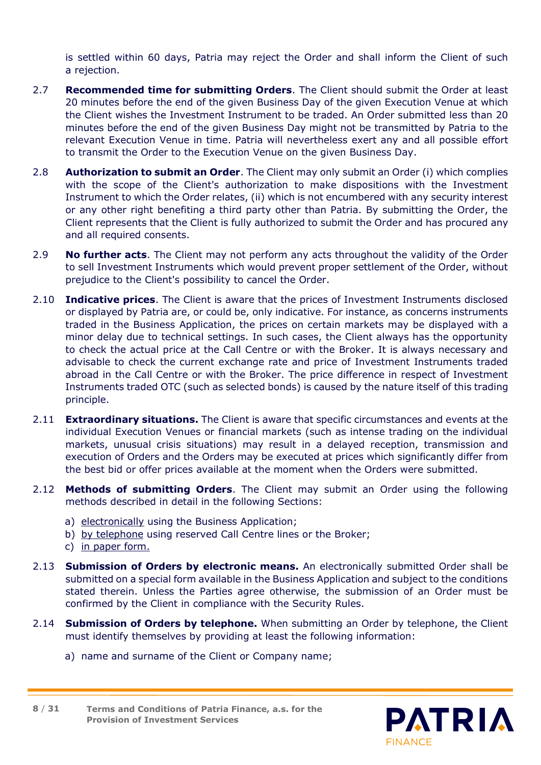is settled within 60 days, Patria may reject the Order and shall inform the Client of such a rejection.

- 2.7 **Recommended time for submitting Orders**. The Client should submit the Order at least 20 minutes before the end of the given Business Day of the given Execution Venue at which the Client wishes the Investment Instrument to be traded. An Order submitted less than 20 minutes before the end of the given Business Day might not be transmitted by Patria to the relevant Execution Venue in time. Patria will nevertheless exert any and all possible effort to transmit the Order to the Execution Venue on the given Business Day.
- 2.8 **Authorization to submit an Order**. The Client may only submit an Order (i) which complies with the scope of the Client's authorization to make dispositions with the Investment Instrument to which the Order relates, (ii) which is not encumbered with any security interest or any other right benefiting a third party other than Patria. By submitting the Order, the Client represents that the Client is fully authorized to submit the Order and has procured any and all required consents.
- 2.9 **No further acts**. The Client may not perform any acts throughout the validity of the Order to sell Investment Instruments which would prevent proper settlement of the Order, without prejudice to the Client's possibility to cancel the Order.
- 2.10 **Indicative prices**. The Client is aware that the prices of Investment Instruments disclosed or displayed by Patria are, or could be, only indicative. For instance, as concerns instruments traded in the Business Application, the prices on certain markets may be displayed with a minor delay due to technical settings. In such cases, the Client always has the opportunity to check the actual price at the Call Centre or with the Broker. It is always necessary and advisable to check the current exchange rate and price of Investment Instruments traded abroad in the Call Centre or with the Broker. The price difference in respect of Investment Instruments traded OTC (such as selected bonds) is caused by the nature itself of this trading principle.
- 2.11 **Extraordinary situations.** The Client is aware that specific circumstances and events at the individual Execution Venues or financial markets (such as intense trading on the individual markets, unusual crisis situations) may result in a delayed reception, transmission and execution of Orders and the Orders may be executed at prices which significantly differ from the best bid or offer prices available at the moment when the Orders were submitted.
- 2.12 **Methods of submitting Orders**. The Client may submit an Order using the following methods described in detail in the following Sections:
	- a) electronically using the Business Application;
	- b) by telephone using reserved Call Centre lines or the Broker;
	- c) in paper form.
- 2.13 **Submission of Orders by electronic means.** An electronically submitted Order shall be submitted on a special form available in the Business Application and subject to the conditions stated therein. Unless the Parties agree otherwise, the submission of an Order must be confirmed by the Client in compliance with the Security Rules.
- 2.14 **Submission of Orders by telephone.** When submitting an Order by telephone, the Client must identify themselves by providing at least the following information:
	- a) name and surname of the Client or Company name;

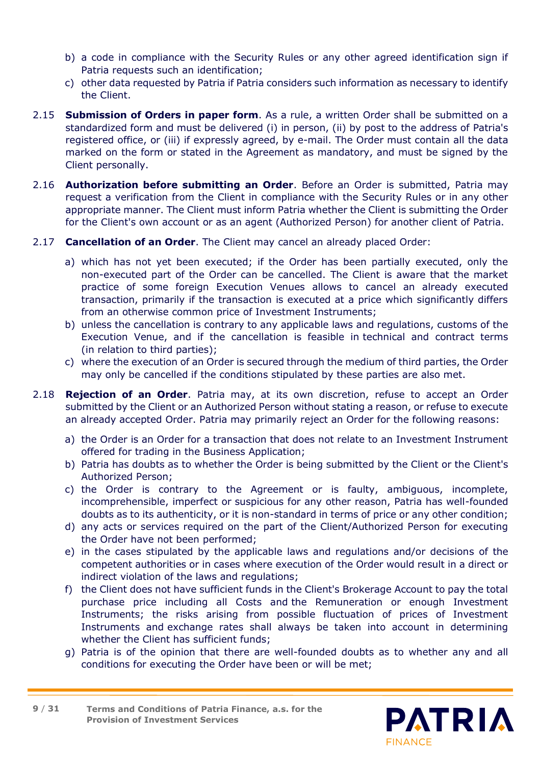- b) a code in compliance with the Security Rules or any other agreed identification sign if Patria requests such an identification;
- c) other data requested by Patria if Patria considers such information as necessary to identify the Client.
- 2.15 **Submission of Orders in paper form**. As a rule, a written Order shall be submitted on a standardized form and must be delivered (i) in person, (ii) by post to the address of Patria's registered office, or (iii) if expressly agreed, by e-mail. The Order must contain all the data marked on the form or stated in the Agreement as mandatory, and must be signed by the Client personally.
- 2.16 **Authorization before submitting an Order**. Before an Order is submitted, Patria may request a verification from the Client in compliance with the Security Rules or in any other appropriate manner. The Client must inform Patria whether the Client is submitting the Order for the Client's own account or as an agent (Authorized Person) for another client of Patria.
- 2.17 **Cancellation of an Order**. The Client may cancel an already placed Order:
	- a) which has not yet been executed; if the Order has been partially executed, only the non-executed part of the Order can be cancelled. The Client is aware that the market practice of some foreign Execution Venues allows to cancel an already executed transaction, primarily if the transaction is executed at a price which significantly differs from an otherwise common price of Investment Instruments;
	- b) unless the cancellation is contrary to any applicable laws and regulations, customs of the Execution Venue, and if the cancellation is feasible in technical and contract terms (in relation to third parties);
	- c) where the execution of an Order is secured through the medium of third parties, the Order may only be cancelled if the conditions stipulated by these parties are also met.
- 2.18 **Rejection of an Order**. Patria may, at its own discretion, refuse to accept an Order submitted by the Client or an Authorized Person without stating a reason, or refuse to execute an already accepted Order. Patria may primarily reject an Order for the following reasons:
	- a) the Order is an Order for a transaction that does not relate to an Investment Instrument offered for trading in the Business Application;
	- b) Patria has doubts as to whether the Order is being submitted by the Client or the Client's Authorized Person;
	- c) the Order is contrary to the Agreement or is faulty, ambiguous, incomplete, incomprehensible, imperfect or suspicious for any other reason, Patria has well-founded doubts as to its authenticity, or it is non-standard in terms of price or any other condition;
	- d) any acts or services required on the part of the Client/Authorized Person for executing the Order have not been performed;
	- e) in the cases stipulated by the applicable laws and regulations and/or decisions of the competent authorities or in cases where execution of the Order would result in a direct or indirect violation of the laws and regulations;
	- f) the Client does not have sufficient funds in the Client's Brokerage Account to pay the total purchase price including all Costs and the Remuneration or enough Investment Instruments; the risks arising from possible fluctuation of prices of Investment Instruments and exchange rates shall always be taken into account in determining whether the Client has sufficient funds;
	- g) Patria is of the opinion that there are well-founded doubts as to whether any and all conditions for executing the Order have been or will be met;

**Terms and Conditions of Patria Finance, a.s. for the Provision of Investment Services 9** / **31**

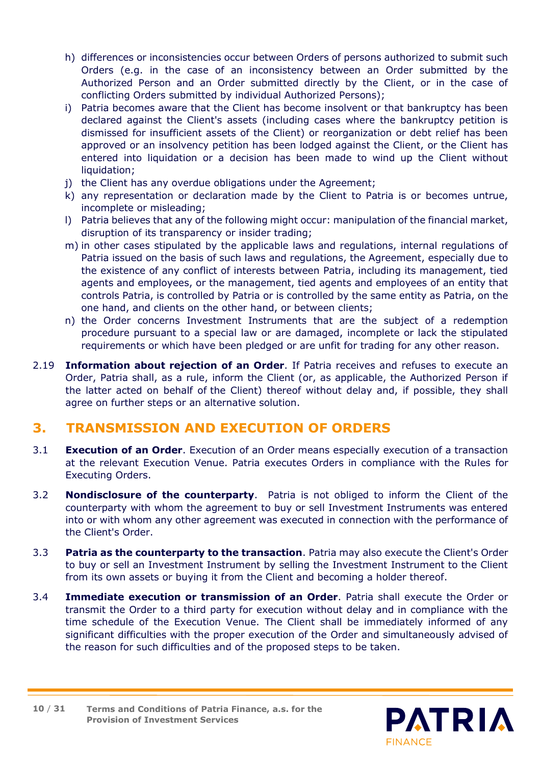- h) differences or inconsistencies occur between Orders of persons authorized to submit such Orders (e.g. in the case of an inconsistency between an Order submitted by the Authorized Person and an Order submitted directly by the Client, or in the case of conflicting Orders submitted by individual Authorized Persons);
- i) Patria becomes aware that the Client has become insolvent or that bankruptcy has been declared against the Client's assets (including cases where the bankruptcy petition is dismissed for insufficient assets of the Client) or reorganization or debt relief has been approved or an insolvency petition has been lodged against the Client, or the Client has entered into liquidation or a decision has been made to wind up the Client without liquidation;
- j) the Client has any overdue obligations under the Agreement;
- k) any representation or declaration made by the Client to Patria is or becomes untrue, incomplete or misleading;
- l) Patria believes that any of the following might occur: manipulation of the financial market, disruption of its transparency or insider trading;
- m) in other cases stipulated by the applicable laws and regulations, internal regulations of Patria issued on the basis of such laws and regulations, the Agreement, especially due to the existence of any conflict of interests between Patria, including its management, tied agents and employees, or the management, tied agents and employees of an entity that controls Patria, is controlled by Patria or is controlled by the same entity as Patria, on the one hand, and clients on the other hand, or between clients;
- n) the Order concerns Investment Instruments that are the subject of a redemption procedure pursuant to a special law or are damaged, incomplete or lack the stipulated requirements or which have been pledged or are unfit for trading for any other reason.
- 2.19 **Information about rejection of an Order**. If Patria receives and refuses to execute an Order, Patria shall, as a rule, inform the Client (or, as applicable, the Authorized Person if the latter acted on behalf of the Client) thereof without delay and, if possible, they shall agree on further steps or an alternative solution.

# <span id="page-9-0"></span>**3. TRANSMISSION AND EXECUTION OF ORDERS**

- 3.1 **Execution of an Order**. Execution of an Order means especially execution of a transaction at the relevant Execution Venue. Patria executes Orders in compliance with the Rules for Executing Orders.
- 3.2 **Nondisclosure of the counterparty**. Patria is not obliged to inform the Client of the counterparty with whom the agreement to buy or sell Investment Instruments was entered into or with whom any other agreement was executed in connection with the performance of the Client's Order.
- 3.3 **Patria as the counterparty to the transaction**. Patria may also execute the Client's Order to buy or sell an Investment Instrument by selling the Investment Instrument to the Client from its own assets or buying it from the Client and becoming a holder thereof.
- 3.4 **Immediate execution or transmission of an Order**. Patria shall execute the Order or transmit the Order to a third party for execution without delay and in compliance with the time schedule of the Execution Venue. The Client shall be immediately informed of any significant difficulties with the proper execution of the Order and simultaneously advised of the reason for such difficulties and of the proposed steps to be taken.

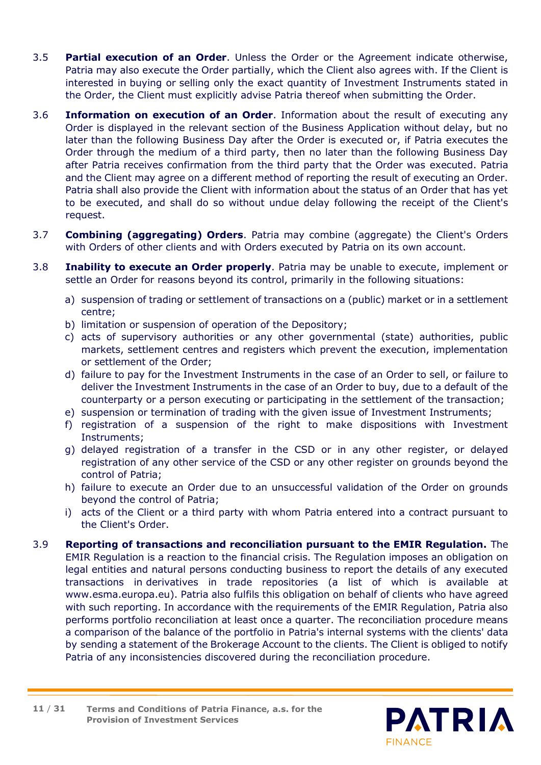- 3.5 **Partial execution of an Order**. Unless the Order or the Agreement indicate otherwise, Patria may also execute the Order partially, which the Client also agrees with. If the Client is interested in buying or selling only the exact quantity of Investment Instruments stated in the Order, the Client must explicitly advise Patria thereof when submitting the Order.
- 3.6 **Information on execution of an Order**. Information about the result of executing any Order is displayed in the relevant section of the Business Application without delay, but no later than the following Business Day after the Order is executed or, if Patria executes the Order through the medium of a third party, then no later than the following Business Day after Patria receives confirmation from the third party that the Order was executed. Patria and the Client may agree on a different method of reporting the result of executing an Order. Patria shall also provide the Client with information about the status of an Order that has yet to be executed, and shall do so without undue delay following the receipt of the Client's request.
- 3.7 **Combining (aggregating) Orders**. Patria may combine (aggregate) the Client's Orders with Orders of other clients and with Orders executed by Patria on its own account.
- 3.8 **Inability to execute an Order properly**. Patria may be unable to execute, implement or settle an Order for reasons beyond its control, primarily in the following situations:
	- a) suspension of trading or settlement of transactions on a (public) market or in a settlement centre;
	- b) limitation or suspension of operation of the Depository;
	- c) acts of supervisory authorities or any other governmental (state) authorities, public markets, settlement centres and registers which prevent the execution, implementation or settlement of the Order;
	- d) failure to pay for the Investment Instruments in the case of an Order to sell, or failure to deliver the Investment Instruments in the case of an Order to buy, due to a default of the counterparty or a person executing or participating in the settlement of the transaction;
	- e) suspension or termination of trading with the given issue of Investment Instruments;
	- f) registration of a suspension of the right to make dispositions with Investment Instruments;
	- g) delayed registration of a transfer in the CSD or in any other register, or delayed registration of any other service of the CSD or any other register on grounds beyond the control of Patria;
	- h) failure to execute an Order due to an unsuccessful validation of the Order on grounds beyond the control of Patria;
	- i) acts of the Client or a third party with whom Patria entered into a contract pursuant to the Client's Order.
- 3.9 **Reporting of transactions and reconciliation pursuant to the EMIR Regulation.** The EMIR Regulation is a reaction to the financial crisis. The Regulation imposes an obligation on legal entities and natural persons conducting business to report the details of any executed transactions in derivatives in trade repositories (a list of which is available at www.esma.europa.eu). Patria also fulfils this obligation on behalf of clients who have agreed with such reporting. In accordance with the requirements of the EMIR Regulation, Patria also performs portfolio reconciliation at least once a quarter. The reconciliation procedure means a comparison of the balance of the portfolio in Patria's internal systems with the clients' data by sending a statement of the Brokerage Account to the clients. The Client is obliged to notify Patria of any inconsistencies discovered during the reconciliation procedure.

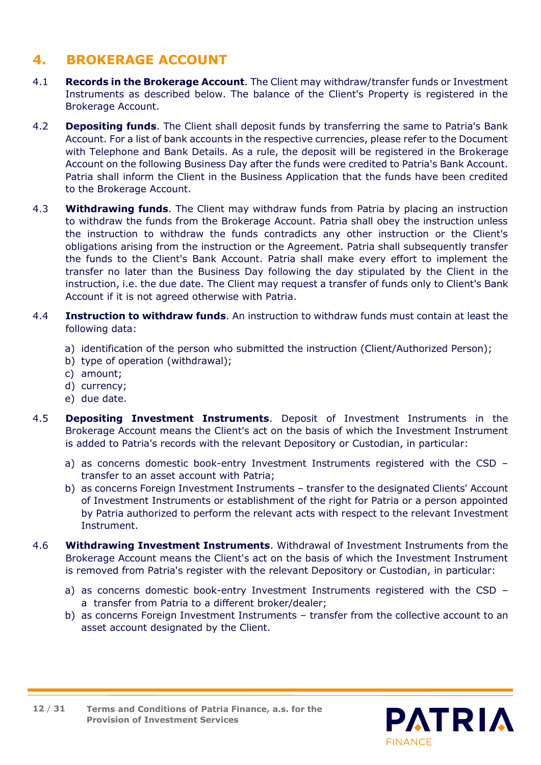# <span id="page-11-0"></span>**4. BROKERAGE ACCOUNT**

- 4.1 **Records in the Brokerage Account**. The Client may withdraw/transfer funds or Investment Instruments as described below. The balance of the Client's Property is registered in the Brokerage Account.
- 4.2 **Depositing funds**. The Client shall deposit funds by transferring the same to Patria's Bank Account. For a list of bank accounts in the respective currencies, please refer to the Document with Telephone and Bank Details. As a rule, the deposit will be registered in the Brokerage Account on the following Business Day after the funds were credited to Patria's Bank Account. Patria shall inform the Client in the Business Application that the funds have been credited to the Brokerage Account.
- 4.3 **Withdrawing funds**. The Client may withdraw funds from Patria by placing an instruction to withdraw the funds from the Brokerage Account. Patria shall obey the instruction unless the instruction to withdraw the funds contradicts any other instruction or the Client's obligations arising from the instruction or the Agreement. Patria shall subsequently transfer the funds to the Client's Bank Account. Patria shall make every effort to implement the transfer no later than the Business Day following the day stipulated by the Client in the instruction, i.e. the due date. The Client may request a transfer of funds only to Client's Bank Account if it is not agreed otherwise with Patria.
- 4.4 **Instruction to withdraw funds**. An instruction to withdraw funds must contain at least the following data:
	- a) identification of the person who submitted the instruction (Client/Authorized Person);
	- b) type of operation (withdrawal);
	- c) amount;
	- d) currency;
	- e) due date.
- 4.5 **Depositing Investment Instruments**. Deposit of Investment Instruments in the Brokerage Account means the Client's act on the basis of which the Investment Instrument is added to Patria's records with the relevant Depository or Custodian, in particular:
	- a) as concerns domestic book-entry Investment Instruments registered with the CSD transfer to an asset account with Patria;
	- b) as concerns Foreign Investment Instruments transfer to the designated Clients' Account of Investment Instruments or establishment of the right for Patria or a person appointed by Patria authorized to perform the relevant acts with respect to the relevant Investment Instrument.
- 4.6 **Withdrawing Investment Instruments**. Withdrawal of Investment Instruments from the Brokerage Account means the Client's act on the basis of which the Investment Instrument is removed from Patria's register with the relevant Depository or Custodian, in particular:
	- a) as concerns domestic book-entry Investment Instruments registered with the CSD a transfer from Patria to a different broker/dealer;
	- b) as concerns Foreign Investment Instruments transfer from the collective account to an asset account designated by the Client.



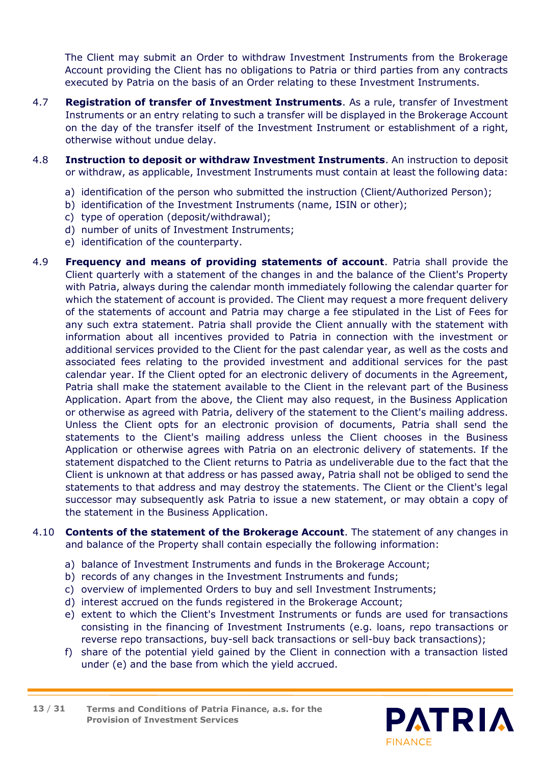The Client may submit an Order to withdraw Investment Instruments from the Brokerage Account providing the Client has no obligations to Patria or third parties from any contracts executed by Patria on the basis of an Order relating to these Investment Instruments.

- 4.7 **Registration of transfer of Investment Instruments**. As a rule, transfer of Investment Instruments or an entry relating to such a transfer will be displayed in the Brokerage Account on the day of the transfer itself of the Investment Instrument or establishment of a right, otherwise without undue delay.
- 4.8 **Instruction to deposit or withdraw Investment Instruments**. An instruction to deposit or withdraw, as applicable, Investment Instruments must contain at least the following data:
	- a) identification of the person who submitted the instruction (Client/Authorized Person);
	- b) identification of the Investment Instruments (name, ISIN or other);
	- c) type of operation (deposit/withdrawal);
	- d) number of units of Investment Instruments;
	- e) identification of the counterparty.
- 4.9 **Frequency and means of providing statements of account**. Patria shall provide the Client quarterly with a statement of the changes in and the balance of the Client's Property with Patria, always during the calendar month immediately following the calendar quarter for which the statement of account is provided. The Client may request a more frequent delivery of the statements of account and Patria may charge a fee stipulated in the List of Fees for any such extra statement. Patria shall provide the Client annually with the statement with information about all incentives provided to Patria in connection with the investment or additional services provided to the Client for the past calendar year, as well as the costs and associated fees relating to the provided investment and additional services for the past calendar year. If the Client opted for an electronic delivery of documents in the Agreement, Patria shall make the statement available to the Client in the relevant part of the Business Application. Apart from the above, the Client may also request, in the Business Application or otherwise as agreed with Patria, delivery of the statement to the Client's mailing address. Unless the Client opts for an electronic provision of documents, Patria shall send the statements to the Client's mailing address unless the Client chooses in the Business Application or otherwise agrees with Patria on an electronic delivery of statements. If the statement dispatched to the Client returns to Patria as undeliverable due to the fact that the Client is unknown at that address or has passed away, Patria shall not be obliged to send the statements to that address and may destroy the statements. The Client or the Client's legal successor may subsequently ask Patria to issue a new statement, or may obtain a copy of the statement in the Business Application.
- 4.10 **Contents of the statement of the Brokerage Account**. The statement of any changes in and balance of the Property shall contain especially the following information:
	- a) balance of Investment Instruments and funds in the Brokerage Account;
	- b) records of any changes in the Investment Instruments and funds;
	- c) overview of implemented Orders to buy and sell Investment Instruments;
	- d) interest accrued on the funds registered in the Brokerage Account;
	- e) extent to which the Client's Investment Instruments or funds are used for transactions consisting in the financing of Investment Instruments (e.g. loans, repo transactions or reverse repo transactions, buy-sell back transactions or sell-buy back transactions);
	- f) share of the potential yield gained by the Client in connection with a transaction listed under (e) and the base from which the yield accrued.

**Terms and Conditions of Patria Finance, a.s. for the Provision of Investment Services 13** / **31**

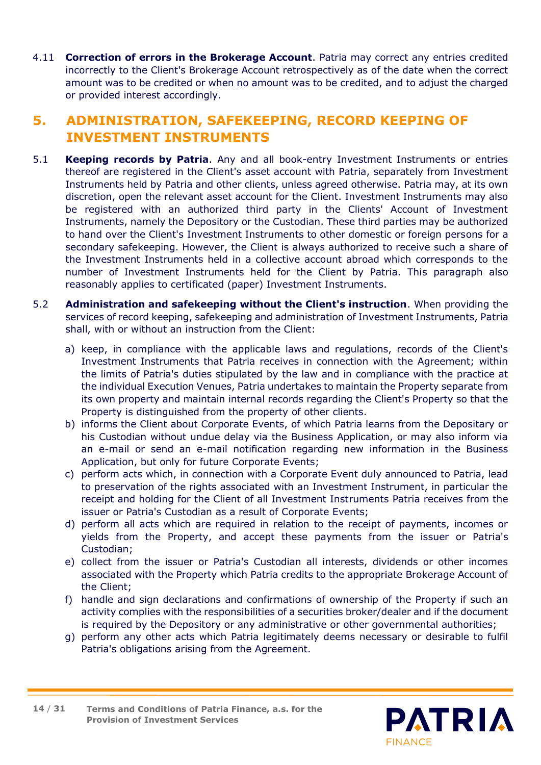4.11 **Correction of errors in the Brokerage Account**. Patria may correct any entries credited incorrectly to the Client's Brokerage Account retrospectively as of the date when the correct amount was to be credited or when no amount was to be credited, and to adjust the charged or provided interest accordingly.

# <span id="page-13-0"></span>**5. ADMINISTRATION, SAFEKEEPING, RECORD KEEPING OF INVESTMENT INSTRUMENTS**

- 5.1 **Keeping records by Patria**. Any and all book-entry Investment Instruments or entries thereof are registered in the Client's asset account with Patria, separately from Investment Instruments held by Patria and other clients, unless agreed otherwise. Patria may, at its own discretion, open the relevant asset account for the Client. Investment Instruments may also be registered with an authorized third party in the Clients' Account of Investment Instruments, namely the Depository or the Custodian. These third parties may be authorized to hand over the Client's Investment Instruments to other domestic or foreign persons for a secondary safekeeping. However, the Client is always authorized to receive such a share of the Investment Instruments held in a collective account abroad which corresponds to the number of Investment Instruments held for the Client by Patria. This paragraph also reasonably applies to certificated (paper) Investment Instruments.
- 5.2 **Administration and safekeeping without the Client's instruction**. When providing the services of record keeping, safekeeping and administration of Investment Instruments, Patria shall, with or without an instruction from the Client:
	- a) keep, in compliance with the applicable laws and regulations, records of the Client's Investment Instruments that Patria receives in connection with the Agreement; within the limits of Patria's duties stipulated by the law and in compliance with the practice at the individual Execution Venues, Patria undertakes to maintain the Property separate from its own property and maintain internal records regarding the Client's Property so that the Property is distinguished from the property of other clients.
	- b) informs the Client about Corporate Events, of which Patria learns from the Depositary or his Custodian without undue delay via the Business Application, or may also inform via an e-mail or send an e-mail notification regarding new information in the Business Application, but only for future Corporate Events;
	- c) perform acts which, in connection with a Corporate Event duly announced to Patria, lead to preservation of the rights associated with an Investment Instrument, in particular the receipt and holding for the Client of all Investment Instruments Patria receives from the issuer or Patria's Custodian as a result of Corporate Events;
	- d) perform all acts which are required in relation to the receipt of payments, incomes or yields from the Property, and accept these payments from the issuer or Patria's Custodian;
	- e) collect from the issuer or Patria's Custodian all interests, dividends or other incomes associated with the Property which Patria credits to the appropriate Brokerage Account of the Client;
	- f) handle and sign declarations and confirmations of ownership of the Property if such an activity complies with the responsibilities of a securities broker/dealer and if the document is required by the Depository or any administrative or other governmental authorities;
	- g) perform any other acts which Patria legitimately deems necessary or desirable to fulfil Patria's obligations arising from the Agreement.



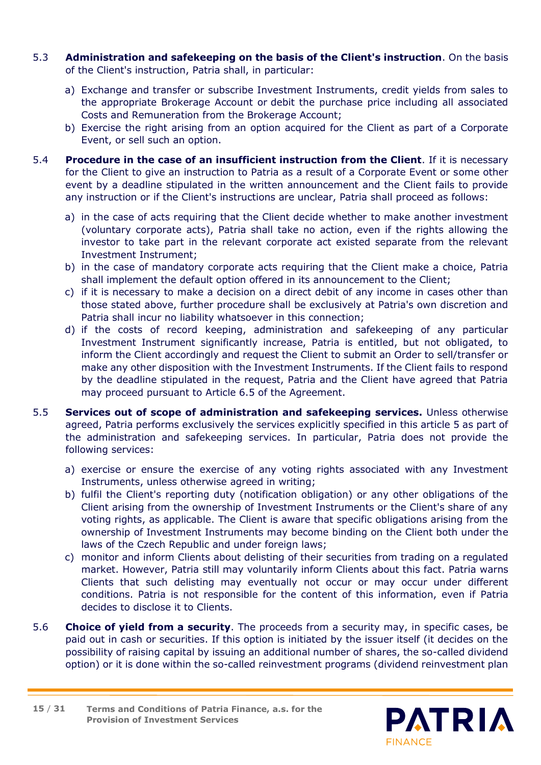- 5.3 **Administration and safekeeping on the basis of the Client's instruction**. On the basis of the Client's instruction, Patria shall, in particular:
	- a) Exchange and transfer or subscribe Investment Instruments, credit yields from sales to the appropriate Brokerage Account or debit the purchase price including all associated Costs and Remuneration from the Brokerage Account;
	- b) Exercise the right arising from an option acquired for the Client as part of a Corporate Event, or sell such an option.
- 5.4 **Procedure in the case of an insufficient instruction from the Client**. If it is necessary for the Client to give an instruction to Patria as a result of a Corporate Event or some other event by a deadline stipulated in the written announcement and the Client fails to provide any instruction or if the Client's instructions are unclear, Patria shall proceed as follows:
	- a) in the case of acts requiring that the Client decide whether to make another investment (voluntary corporate acts), Patria shall take no action, even if the rights allowing the investor to take part in the relevant corporate act existed separate from the relevant Investment Instrument;
	- b) in the case of mandatory corporate acts requiring that the Client make a choice, Patria shall implement the default option offered in its announcement to the Client;
	- c) if it is necessary to make a decision on a direct debit of any income in cases other than those stated above, further procedure shall be exclusively at Patria's own discretion and Patria shall incur no liability whatsoever in this connection;
	- d) if the costs of record keeping, administration and safekeeping of any particular Investment Instrument significantly increase, Patria is entitled, but not obligated, to inform the Client accordingly and request the Client to submit an Order to sell/transfer or make any other disposition with the Investment Instruments. If the Client fails to respond by the deadline stipulated in the request, Patria and the Client have agreed that Patria may proceed pursuant to Article 6.5 of the Agreement.
- 5.5 **Services out of scope of administration and safekeeping services.** Unless otherwise agreed, Patria performs exclusively the services explicitly specified in this article 5 as part of the administration and safekeeping services. In particular, Patria does not provide the following services:
	- a) exercise or ensure the exercise of any voting rights associated with any Investment Instruments, unless otherwise agreed in writing;
	- b) fulfil the Client's reporting duty (notification obligation) or any other obligations of the Client arising from the ownership of Investment Instruments or the Client's share of any voting rights, as applicable. The Client is aware that specific obligations arising from the ownership of Investment Instruments may become binding on the Client both under the laws of the Czech Republic and under foreign laws;
	- c) monitor and inform Clients about delisting of their securities from trading on a regulated market. However, Patria still may voluntarily inform Clients about this fact. Patria warns Clients that such delisting may eventually not occur or may occur under different conditions. Patria is not responsible for the content of this information, even if Patria decides to disclose it to Clients.
- 5.6 **Choice of yield from a security**. The proceeds from a security may, in specific cases, be paid out in cash or securities. If this option is initiated by the issuer itself (it decides on the possibility of raising capital by issuing an additional number of shares, the so-called dividend option) or it is done within the so-called reinvestment programs (dividend reinvestment plan

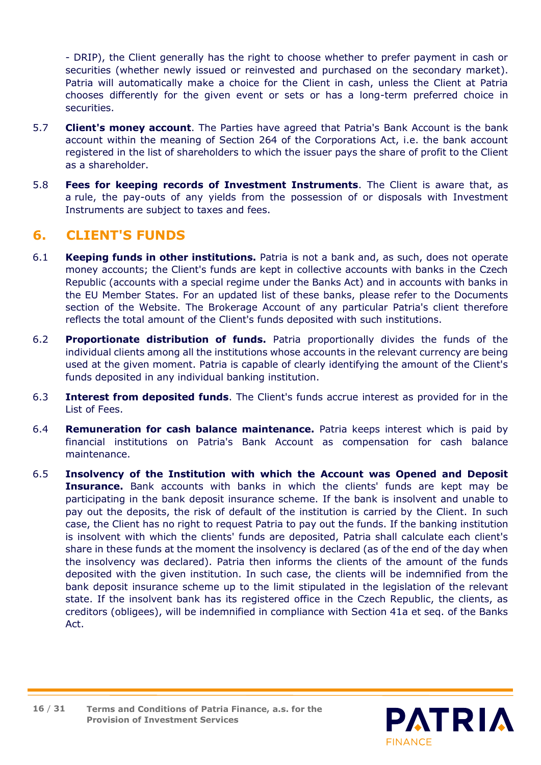- DRIP), the Client generally has the right to choose whether to prefer payment in cash or securities (whether newly issued or reinvested and purchased on the secondary market). Patria will automatically make a choice for the Client in cash, unless the Client at Patria chooses differently for the given event or sets or has a long-term preferred choice in securities.

- 5.7 **Client's money account**. The Parties have agreed that Patria's Bank Account is the bank account within the meaning of Section 264 of the Corporations Act, i.e. the bank account registered in the list of shareholders to which the issuer pays the share of profit to the Client as a shareholder.
- 5.8 **Fees for keeping records of Investment Instruments**. The Client is aware that, as a rule, the pay-outs of any yields from the possession of or disposals with Investment Instruments are subject to taxes and fees.

# <span id="page-15-0"></span>**6. CLIENT'S FUNDS**

- 6.1 **Keeping funds in other institutions.** Patria is not a bank and, as such, does not operate money accounts; the Client's funds are kept in collective accounts with banks in the Czech Republic (accounts with a special regime under the Banks Act) and in accounts with banks in the EU Member States. For an updated list of these banks, please refer to the Documents section of the Website. The Brokerage Account of any particular Patria's client therefore reflects the total amount of the Client's funds deposited with such institutions.
- 6.2 **Proportionate distribution of funds.** Patria proportionally divides the funds of the individual clients among all the institutions whose accounts in the relevant currency are being used at the given moment. Patria is capable of clearly identifying the amount of the Client's funds deposited in any individual banking institution.
- 6.3 **Interest from deposited funds**. The Client's funds accrue interest as provided for in the List of Fees.
- 6.4 **Remuneration for cash balance maintenance.** Patria keeps interest which is paid by financial institutions on Patria's Bank Account as compensation for cash balance maintenance.
- 6.5 **Insolvency of the Institution with which the Account was Opened and Deposit Insurance.** Bank accounts with banks in which the clients' funds are kept may be participating in the bank deposit insurance scheme. If the bank is insolvent and unable to pay out the deposits, the risk of default of the institution is carried by the Client. In such case, the Client has no right to request Patria to pay out the funds. If the banking institution is insolvent with which the clients' funds are deposited, Patria shall calculate each client's share in these funds at the moment the insolvency is declared (as of the end of the day when the insolvency was declared). Patria then informs the clients of the amount of the funds deposited with the given institution. In such case, the clients will be indemnified from the bank deposit insurance scheme up to the limit stipulated in the legislation of the relevant state. If the insolvent bank has its registered office in the Czech Republic, the clients, as creditors (obligees), will be indemnified in compliance with Section 41a et seq. of the Banks Act.



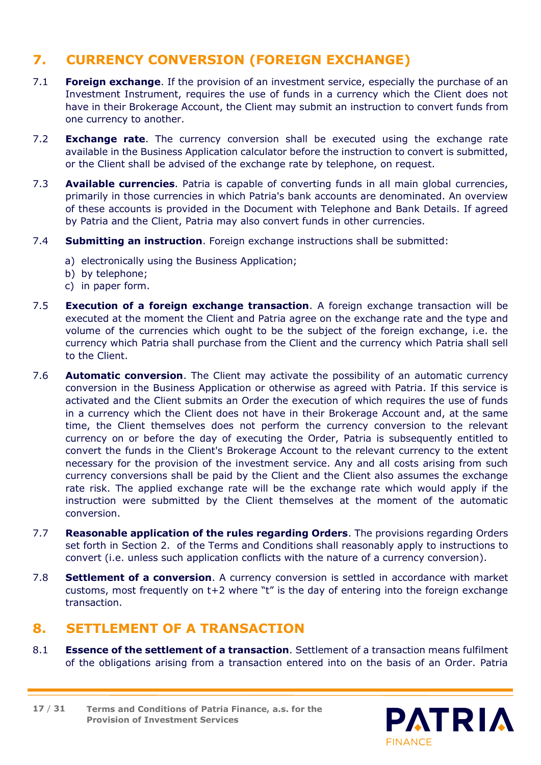# <span id="page-16-0"></span>**7. CURRENCY CONVERSION (FOREIGN EXCHANGE)**

- 7.1 **Foreign exchange**. If the provision of an investment service, especially the purchase of an Investment Instrument, requires the use of funds in a currency which the Client does not have in their Brokerage Account, the Client may submit an instruction to convert funds from one currency to another.
- 7.2 **Exchange rate**. The currency conversion shall be executed using the exchange rate available in the Business Application calculator before the instruction to convert is submitted, or the Client shall be advised of the exchange rate by telephone, on request.
- 7.3 **Available currencies**. Patria is capable of converting funds in all main global currencies, primarily in those currencies in which Patria's bank accounts are denominated. An overview of these accounts is provided in the Document with Telephone and Bank Details. If agreed by Patria and the Client, Patria may also convert funds in other currencies.
- 7.4 **Submitting an instruction**. Foreign exchange instructions shall be submitted:
	- a) electronically using the Business Application;
	- b) by telephone;
	- c) in paper form.
- 7.5 **Execution of a foreign exchange transaction**. A foreign exchange transaction will be executed at the moment the Client and Patria agree on the exchange rate and the type and volume of the currencies which ought to be the subject of the foreign exchange, i.e. the currency which Patria shall purchase from the Client and the currency which Patria shall sell to the Client.
- 7.6 **Automatic conversion**. The Client may activate the possibility of an automatic currency conversion in the Business Application or otherwise as agreed with Patria. If this service is activated and the Client submits an Order the execution of which requires the use of funds in a currency which the Client does not have in their Brokerage Account and, at the same time, the Client themselves does not perform the currency conversion to the relevant currency on or before the day of executing the Order, Patria is subsequently entitled to convert the funds in the Client's Brokerage Account to the relevant currency to the extent necessary for the provision of the investment service. Any and all costs arising from such currency conversions shall be paid by the Client and the Client also assumes the exchange rate risk. The applied exchange rate will be the exchange rate which would apply if the instruction were submitted by the Client themselves at the moment of the automatic conversion.
- 7.7 **Reasonable application of the rules regarding Orders**. The provisions regarding Orders set forth in Section [2.](#page-5-0) of the Terms and Conditions shall reasonably apply to instructions to convert (i.e. unless such application conflicts with the nature of a currency conversion).
- 7.8 **Settlement of a conversion**. A currency conversion is settled in accordance with market customs, most frequently on t+2 where "t" is the day of entering into the foreign exchange transaction.

# <span id="page-16-1"></span>**8. SETTLEMENT OF A TRANSACTION**

8.1 **Essence of the settlement of a transaction**. Settlement of a transaction means fulfilment of the obligations arising from a transaction entered into on the basis of an Order. Patria

**Terms and Conditions of Patria Finance, a.s. for the Provision of Investment Services 17** / **31**

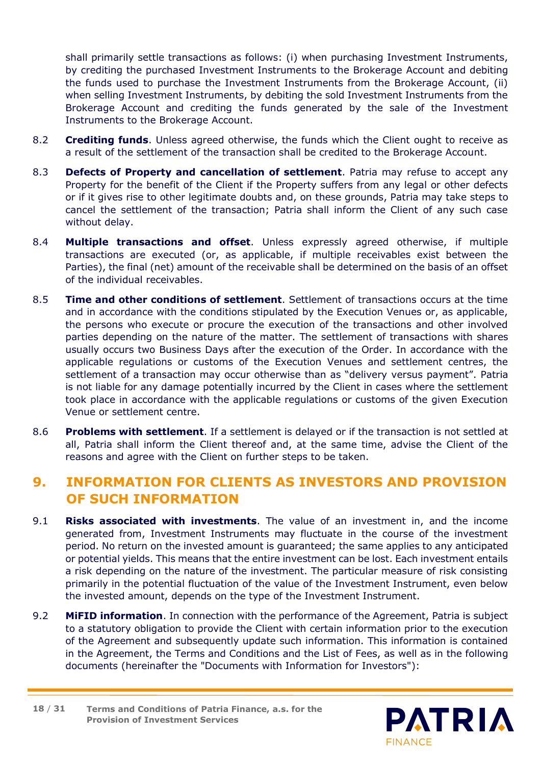shall primarily settle transactions as follows: (i) when purchasing Investment Instruments, by crediting the purchased Investment Instruments to the Brokerage Account and debiting the funds used to purchase the Investment Instruments from the Brokerage Account, (ii) when selling Investment Instruments, by debiting the sold Investment Instruments from the Brokerage Account and crediting the funds generated by the sale of the Investment Instruments to the Brokerage Account.

- 8.2 **Crediting funds**. Unless agreed otherwise, the funds which the Client ought to receive as a result of the settlement of the transaction shall be credited to the Brokerage Account.
- 8.3 **Defects of Property and cancellation of settlement**. Patria may refuse to accept any Property for the benefit of the Client if the Property suffers from any legal or other defects or if it gives rise to other legitimate doubts and, on these grounds, Patria may take steps to cancel the settlement of the transaction; Patria shall inform the Client of any such case without delay.
- 8.4 **Multiple transactions and offset**. Unless expressly agreed otherwise, if multiple transactions are executed (or, as applicable, if multiple receivables exist between the Parties), the final (net) amount of the receivable shall be determined on the basis of an offset of the individual receivables.
- 8.5 **Time and other conditions of settlement**. Settlement of transactions occurs at the time and in accordance with the conditions stipulated by the Execution Venues or, as applicable, the persons who execute or procure the execution of the transactions and other involved parties depending on the nature of the matter. The settlement of transactions with shares usually occurs two Business Days after the execution of the Order. In accordance with the applicable regulations or customs of the Execution Venues and settlement centres, the settlement of a transaction may occur otherwise than as "delivery versus payment". Patria is not liable for any damage potentially incurred by the Client in cases where the settlement took place in accordance with the applicable regulations or customs of the given Execution Venue or settlement centre.
- 8.6 **Problems with settlement**. If a settlement is delayed or if the transaction is not settled at all, Patria shall inform the Client thereof and, at the same time, advise the Client of the reasons and agree with the Client on further steps to be taken.

# <span id="page-17-0"></span>**9. INFORMATION FOR CLIENTS AS INVESTORS AND PROVISION OF SUCH INFORMATION**

- 9.1 **Risks associated with investments**. The value of an investment in, and the income generated from, Investment Instruments may fluctuate in the course of the investment period. No return on the invested amount is guaranteed; the same applies to any anticipated or potential yields. This means that the entire investment can be lost. Each investment entails a risk depending on the nature of the investment. The particular measure of risk consisting primarily in the potential fluctuation of the value of the Investment Instrument, even below the invested amount, depends on the type of the Investment Instrument.
- 9.2 **MiFID information**. In connection with the performance of the Agreement, Patria is subject to a statutory obligation to provide the Client with certain information prior to the execution of the Agreement and subsequently update such information. This information is contained in the Agreement, the Terms and Conditions and the List of Fees, as well as in the following documents (hereinafter the "Documents with Information for Investors"):

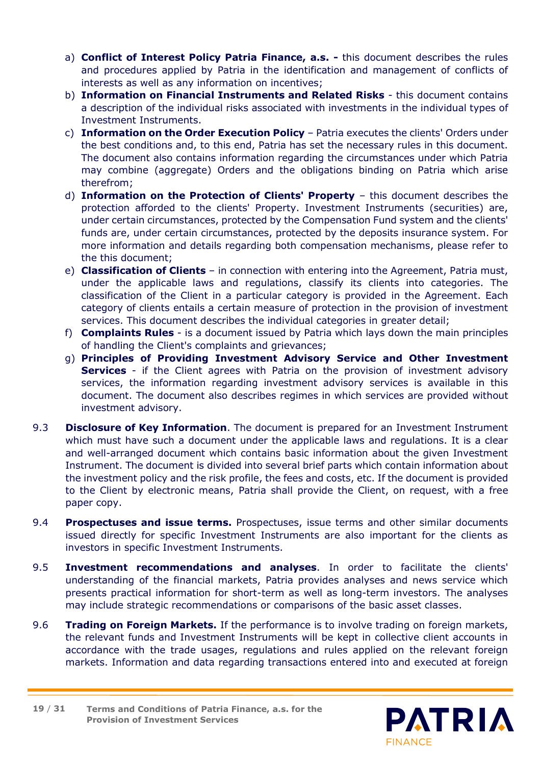- a) **Conflict of Interest Policy Patria Finance, a.s. -** this document describes the rules and procedures applied by Patria in the identification and management of conflicts of interests as well as any information on incentives;
- b) **Information on Financial Instruments and Related Risks** this document contains a description of the individual risks associated with investments in the individual types of Investment Instruments.
- c) **Information on the Order Execution Policy** Patria executes the clients' Orders under the best conditions and, to this end, Patria has set the necessary rules in this document. The document also contains information regarding the circumstances under which Patria may combine (aggregate) Orders and the obligations binding on Patria which arise therefrom;
- d) **Information on the Protection of Clients' Property** this document describes the protection afforded to the clients' Property. Investment Instruments (securities) are, under certain circumstances, protected by the Compensation Fund system and the clients' funds are, under certain circumstances, protected by the deposits insurance system. For more information and details regarding both compensation mechanisms, please refer to the this document;
- e) **Classification of Clients** in connection with entering into the Agreement, Patria must, under the applicable laws and regulations, classify its clients into categories. The classification of the Client in a particular category is provided in the Agreement. Each category of clients entails a certain measure of protection in the provision of investment services. This document describes the individual categories in greater detail;
- f) **Complaints Rules** is a document issued by Patria which lays down the main principles of handling the Client's complaints and grievances;
- g) **Principles of Providing Investment Advisory Service and Other Investment Services** - if the Client agrees with Patria on the provision of investment advisory services, the information regarding investment advisory services is available in this document. The document also describes regimes in which services are provided without investment advisory.
- 9.3 **Disclosure of Key Information**. The document is prepared for an Investment Instrument which must have such a document under the applicable laws and regulations. It is a clear and well-arranged document which contains basic information about the given Investment Instrument. The document is divided into several brief parts which contain information about the investment policy and the risk profile, the fees and costs, etc. If the document is provided to the Client by electronic means, Patria shall provide the Client, on request, with a free paper copy.
- 9.4 **Prospectuses and issue terms.** Prospectuses, issue terms and other similar documents issued directly for specific Investment Instruments are also important for the clients as investors in specific Investment Instruments.
- 9.5 **Investment recommendations and analyses**. In order to facilitate the clients' understanding of the financial markets, Patria provides analyses and news service which presents practical information for short-term as well as long-term investors. The analyses may include strategic recommendations or comparisons of the basic asset classes.
- 9.6 **Trading on Foreign Markets.** If the performance is to involve trading on foreign markets, the relevant funds and Investment Instruments will be kept in collective client accounts in accordance with the trade usages, regulations and rules applied on the relevant foreign markets. Information and data regarding transactions entered into and executed at foreign

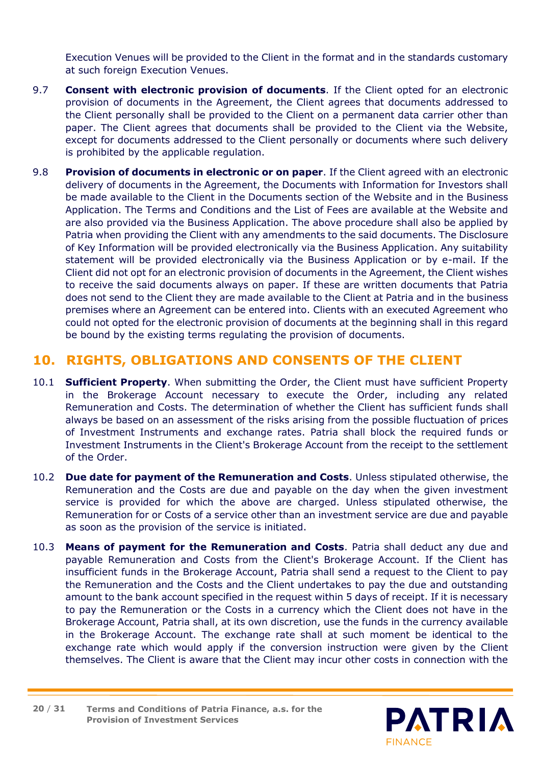Execution Venues will be provided to the Client in the format and in the standards customary at such foreign Execution Venues.

- 9.7 **Consent with electronic provision of documents**. If the Client opted for an electronic provision of documents in the Agreement, the Client agrees that documents addressed to the Client personally shall be provided to the Client on a permanent data carrier other than paper. The Client agrees that documents shall be provided to the Client via the Website, except for documents addressed to the Client personally or documents where such delivery is prohibited by the applicable regulation.
- 9.8 **Provision of documents in electronic or on paper**. If the Client agreed with an electronic delivery of documents in the Agreement, the Documents with Information for Investors shall be made available to the Client in the Documents section of the Website and in the Business Application. The Terms and Conditions and the List of Fees are available at the Website and are also provided via the Business Application. The above procedure shall also be applied by Patria when providing the Client with any amendments to the said documents. The Disclosure of Key Information will be provided electronically via the Business Application. Any suitability statement will be provided electronically via the Business Application or by e-mail. If the Client did not opt for an electronic provision of documents in the Agreement, the Client wishes to receive the said documents always on paper. If these are written documents that Patria does not send to the Client they are made available to the Client at Patria and in the business premises where an Agreement can be entered into. Clients with an executed Agreement who could not opted for the electronic provision of documents at the beginning shall in this regard be bound by the existing terms regulating the provision of documents.

# <span id="page-19-0"></span>**10. RIGHTS, OBLIGATIONS AND CONSENTS OF THE CLIENT**

- 10.1 **Sufficient Property**. When submitting the Order, the Client must have sufficient Property in the Brokerage Account necessary to execute the Order, including any related Remuneration and Costs. The determination of whether the Client has sufficient funds shall always be based on an assessment of the risks arising from the possible fluctuation of prices of Investment Instruments and exchange rates. Patria shall block the required funds or Investment Instruments in the Client's Brokerage Account from the receipt to the settlement of the Order.
- 10.2 **Due date for payment of the Remuneration and Costs**. Unless stipulated otherwise, the Remuneration and the Costs are due and payable on the day when the given investment service is provided for which the above are charged. Unless stipulated otherwise, the Remuneration for or Costs of a service other than an investment service are due and payable as soon as the provision of the service is initiated.
- 10.3 **Means of payment for the Remuneration and Costs**. Patria shall deduct any due and payable Remuneration and Costs from the Client's Brokerage Account. If the Client has insufficient funds in the Brokerage Account, Patria shall send a request to the Client to pay the Remuneration and the Costs and the Client undertakes to pay the due and outstanding amount to the bank account specified in the request within 5 days of receipt. If it is necessary to pay the Remuneration or the Costs in a currency which the Client does not have in the Brokerage Account, Patria shall, at its own discretion, use the funds in the currency available in the Brokerage Account. The exchange rate shall at such moment be identical to the exchange rate which would apply if the conversion instruction were given by the Client themselves. The Client is aware that the Client may incur other costs in connection with the

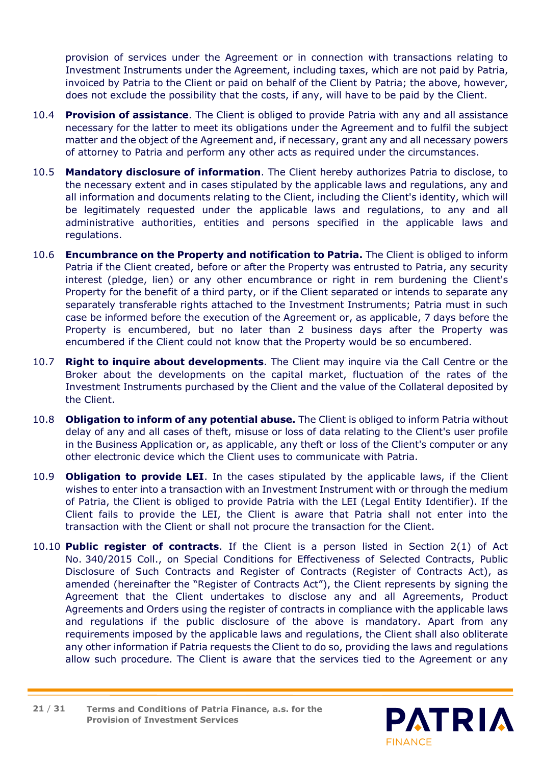provision of services under the Agreement or in connection with transactions relating to Investment Instruments under the Agreement, including taxes, which are not paid by Patria, invoiced by Patria to the Client or paid on behalf of the Client by Patria; the above, however, does not exclude the possibility that the costs, if any, will have to be paid by the Client.

- 10.4 **Provision of assistance**. The Client is obliged to provide Patria with any and all assistance necessary for the latter to meet its obligations under the Agreement and to fulfil the subject matter and the object of the Agreement and, if necessary, grant any and all necessary powers of attorney to Patria and perform any other acts as required under the circumstances.
- 10.5 **Mandatory disclosure of information**. The Client hereby authorizes Patria to disclose, to the necessary extent and in cases stipulated by the applicable laws and regulations, any and all information and documents relating to the Client, including the Client's identity, which will be legitimately requested under the applicable laws and regulations, to any and all administrative authorities, entities and persons specified in the applicable laws and regulations.
- 10.6 **Encumbrance on the Property and notification to Patria.** The Client is obliged to inform Patria if the Client created, before or after the Property was entrusted to Patria, any security interest (pledge, lien) or any other encumbrance or right in rem burdening the Client's Property for the benefit of a third party, or if the Client separated or intends to separate any separately transferable rights attached to the Investment Instruments; Patria must in such case be informed before the execution of the Agreement or, as applicable, 7 days before the Property is encumbered, but no later than 2 business days after the Property was encumbered if the Client could not know that the Property would be so encumbered.
- 10.7 **Right to inquire about developments**. The Client may inquire via the Call Centre or the Broker about the developments on the capital market, fluctuation of the rates of the Investment Instruments purchased by the Client and the value of the Collateral deposited by the Client.
- 10.8 **Obligation to inform of any potential abuse.** The Client is obliged to inform Patria without delay of any and all cases of theft, misuse or loss of data relating to the Client's user profile in the Business Application or, as applicable, any theft or loss of the Client's computer or any other electronic device which the Client uses to communicate with Patria.
- 10.9 **Obligation to provide LEI**. In the cases stipulated by the applicable laws, if the Client wishes to enter into a transaction with an Investment Instrument with or through the medium of Patria, the Client is obliged to provide Patria with the LEI (Legal Entity Identifier). If the Client fails to provide the LEI, the Client is aware that Patria shall not enter into the transaction with the Client or shall not procure the transaction for the Client.
- 10.10 **Public register of contracts**. If the Client is a person listed in Section 2(1) of Act No. 340/2015 Coll., on Special Conditions for Effectiveness of Selected Contracts, Public Disclosure of Such Contracts and Register of Contracts (Register of Contracts Act), as amended (hereinafter the "Register of Contracts Act"), the Client represents by signing the Agreement that the Client undertakes to disclose any and all Agreements, Product Agreements and Orders using the register of contracts in compliance with the applicable laws and regulations if the public disclosure of the above is mandatory. Apart from any requirements imposed by the applicable laws and regulations, the Client shall also obliterate any other information if Patria requests the Client to do so, providing the laws and regulations allow such procedure. The Client is aware that the services tied to the Agreement or any

**Terms and Conditions of Patria Finance, a.s. for the Provision of Investment Services 21** / **31**

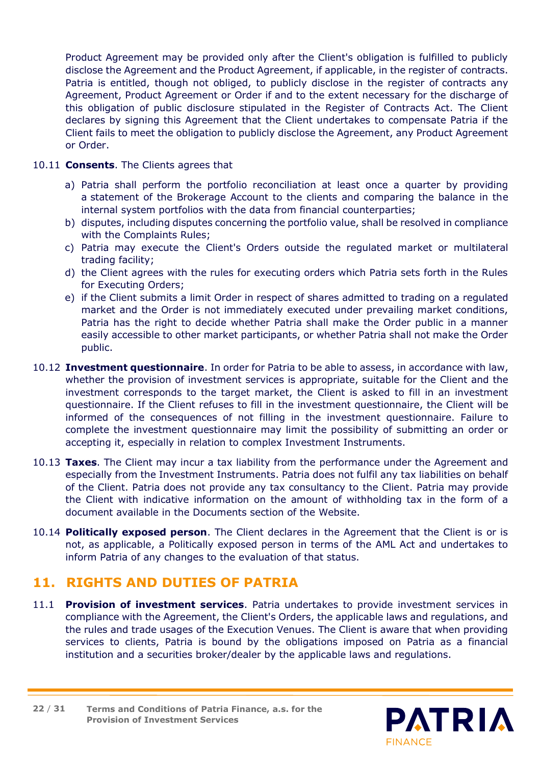Product Agreement may be provided only after the Client's obligation is fulfilled to publicly disclose the Agreement and the Product Agreement, if applicable, in the register of contracts. Patria is entitled, though not obliged, to publicly disclose in the register of contracts any Agreement, Product Agreement or Order if and to the extent necessary for the discharge of this obligation of public disclosure stipulated in the Register of Contracts Act. The Client declares by signing this Agreement that the Client undertakes to compensate Patria if the Client fails to meet the obligation to publicly disclose the Agreement, any Product Agreement or Order.

#### 10.11 **Consents**. The Clients agrees that

- a) Patria shall perform the portfolio reconciliation at least once a quarter by providing a statement of the Brokerage Account to the clients and comparing the balance in the internal system portfolios with the data from financial counterparties;
- b) disputes, including disputes concerning the portfolio value, shall be resolved in compliance with the Complaints Rules;
- c) Patria may execute the Client's Orders outside the regulated market or multilateral trading facility;
- d) the Client agrees with the rules for executing orders which Patria sets forth in the Rules for Executing Orders;
- e) if the Client submits a limit Order in respect of shares admitted to trading on a regulated market and the Order is not immediately executed under prevailing market conditions, Patria has the right to decide whether Patria shall make the Order public in a manner easily accessible to other market participants, or whether Patria shall not make the Order public.
- 10.12 **Investment questionnaire**. In order for Patria to be able to assess, in accordance with law, whether the provision of investment services is appropriate, suitable for the Client and the investment corresponds to the target market, the Client is asked to fill in an investment questionnaire. If the Client refuses to fill in the investment questionnaire, the Client will be informed of the consequences of not filling in the investment questionnaire. Failure to complete the investment questionnaire may limit the possibility of submitting an order or accepting it, especially in relation to complex Investment Instruments.
- 10.13 **Taxes**. The Client may incur a tax liability from the performance under the Agreement and especially from the Investment Instruments. Patria does not fulfil any tax liabilities on behalf of the Client. Patria does not provide any tax consultancy to the Client. Patria may provide the Client with indicative information on the amount of withholding tax in the form of a document available in the Documents section of the Website.
- 10.14 **Politically exposed person**. The Client declares in the Agreement that the Client is or is not, as applicable, a Politically exposed person in terms of the AML Act and undertakes to inform Patria of any changes to the evaluation of that status.

# <span id="page-21-0"></span>**11. RIGHTS AND DUTIES OF PATRIA**

11.1 **Provision of investment services**. Patria undertakes to provide investment services in compliance with the Agreement, the Client's Orders, the applicable laws and regulations, and the rules and trade usages of the Execution Venues. The Client is aware that when providing services to clients, Patria is bound by the obligations imposed on Patria as a financial institution and a securities broker/dealer by the applicable laws and regulations.

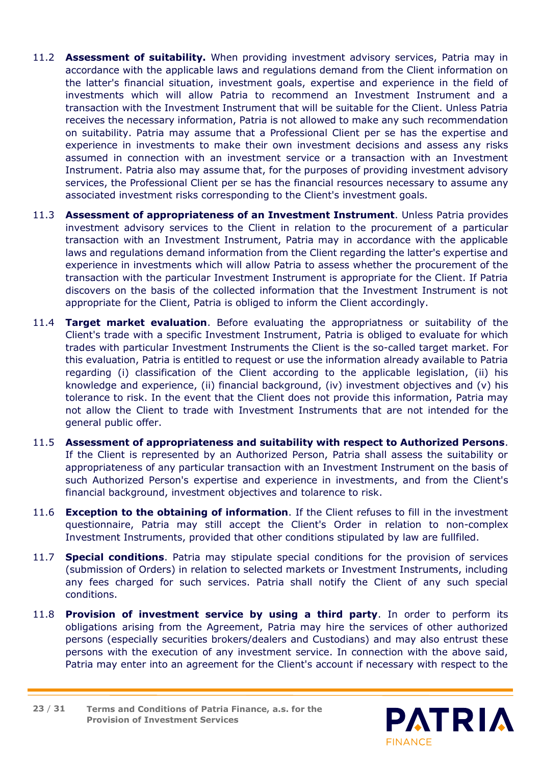- 11.2 **Assessment of suitability.** When providing investment advisory services, Patria may in accordance with the applicable laws and regulations demand from the Client information on the latter's financial situation, investment goals, expertise and experience in the field of investments which will allow Patria to recommend an Investment Instrument and a transaction with the Investment Instrument that will be suitable for the Client. Unless Patria receives the necessary information, Patria is not allowed to make any such recommendation on suitability. Patria may assume that a Professional Client per se has the expertise and experience in investments to make their own investment decisions and assess any risks assumed in connection with an investment service or a transaction with an Investment Instrument. Patria also may assume that, for the purposes of providing investment advisory services, the Professional Client per se has the financial resources necessary to assume any associated investment risks corresponding to the Client's investment goals.
- 11.3 **Assessment of appropriateness of an Investment Instrument**. Unless Patria provides investment advisory services to the Client in relation to the procurement of a particular transaction with an Investment Instrument, Patria may in accordance with the applicable laws and regulations demand information from the Client regarding the latter's expertise and experience in investments which will allow Patria to assess whether the procurement of the transaction with the particular Investment Instrument is appropriate for the Client. If Patria discovers on the basis of the collected information that the Investment Instrument is not appropriate for the Client, Patria is obliged to inform the Client accordingly.
- 11.4 **Target market evaluation**. Before evaluating the appropriatness or suitability of the Client's trade with a specific Investment Instrument, Patria is obliged to evaluate for which trades with particular Investment Instruments the Client is the so-called target market. For this evaluation, Patria is entitled to request or use the information already available to Patria regarding (i) classification of the Client according to the applicable legislation, (ii) his knowledge and experience, (ii) financial background, (iv) investment objectives and (v) his tolerance to risk. In the event that the Client does not provide this information, Patria may not allow the Client to trade with Investment Instruments that are not intended for the general public offer.
- 11.5 **Assessment of appropriateness and suitability with respect to Authorized Persons**. If the Client is represented by an Authorized Person, Patria shall assess the suitability or appropriateness of any particular transaction with an Investment Instrument on the basis of such Authorized Person's expertise and experience in investments, and from the Client's financial background, investment objectives and tolarence to risk.
- 11.6 **Exception to the obtaining of information**. If the Client refuses to fill in the investment questionnaire, Patria may still accept the Client's Order in relation to non-complex Investment Instruments, provided that other conditions stipulated by law are fullfiled.
- 11.7 **Special conditions**. Patria may stipulate special conditions for the provision of services (submission of Orders) in relation to selected markets or Investment Instruments, including any fees charged for such services. Patria shall notify the Client of any such special conditions.
- 11.8 **Provision of investment service by using a third party**. In order to perform its obligations arising from the Agreement, Patria may hire the services of other authorized persons (especially securities brokers/dealers and Custodians) and may also entrust these persons with the execution of any investment service. In connection with the above said, Patria may enter into an agreement for the Client's account if necessary with respect to the

**Terms and Conditions of Patria Finance, a.s. for the Provision of Investment Services 23** / **31**

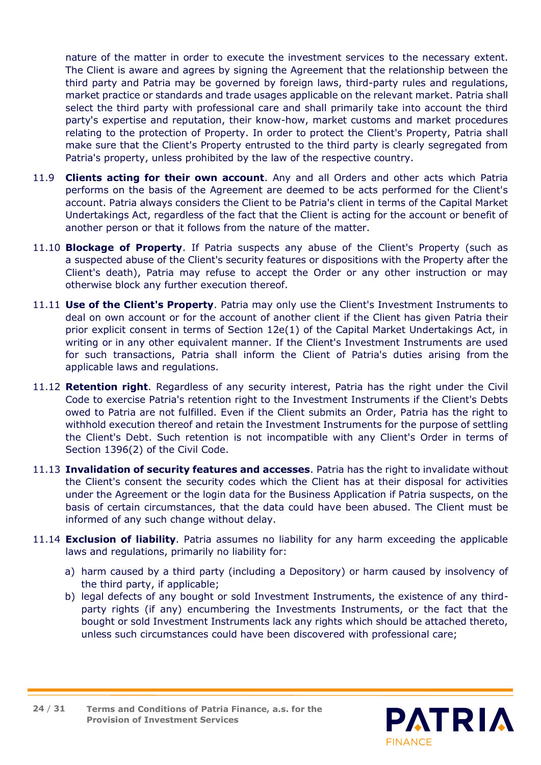nature of the matter in order to execute the investment services to the necessary extent. The Client is aware and agrees by signing the Agreement that the relationship between the third party and Patria may be governed by foreign laws, third-party rules and regulations, market practice or standards and trade usages applicable on the relevant market. Patria shall select the third party with professional care and shall primarily take into account the third party's expertise and reputation, their know-how, market customs and market procedures relating to the protection of Property. In order to protect the Client's Property, Patria shall make sure that the Client's Property entrusted to the third party is clearly segregated from Patria's property, unless prohibited by the law of the respective country.

- 11.9 **Clients acting for their own account**. Any and all Orders and other acts which Patria performs on the basis of the Agreement are deemed to be acts performed for the Client's account. Patria always considers the Client to be Patria's client in terms of the Capital Market Undertakings Act, regardless of the fact that the Client is acting for the account or benefit of another person or that it follows from the nature of the matter.
- 11.10 **Blockage of Property**. If Patria suspects any abuse of the Client's Property (such as a suspected abuse of the Client's security features or dispositions with the Property after the Client's death), Patria may refuse to accept the Order or any other instruction or may otherwise block any further execution thereof.
- 11.11 **Use of the Client's Property**. Patria may only use the Client's Investment Instruments to deal on own account or for the account of another client if the Client has given Patria their prior explicit consent in terms of Section 12e(1) of the Capital Market Undertakings Act, in writing or in any other equivalent manner. If the Client's Investment Instruments are used for such transactions, Patria shall inform the Client of Patria's duties arising from the applicable laws and regulations.
- 11.12 **Retention right**. Regardless of any security interest, Patria has the right under the Civil Code to exercise Patria's retention right to the Investment Instruments if the Client's Debts owed to Patria are not fulfilled. Even if the Client submits an Order, Patria has the right to withhold execution thereof and retain the Investment Instruments for the purpose of settling the Client's Debt. Such retention is not incompatible with any Client's Order in terms of Section 1396(2) of the Civil Code.
- 11.13 **Invalidation of security features and accesses**. Patria has the right to invalidate without the Client's consent the security codes which the Client has at their disposal for activities under the Agreement or the login data for the Business Application if Patria suspects, on the basis of certain circumstances, that the data could have been abused. The Client must be informed of any such change without delay.
- 11.14 **Exclusion of liability**. Patria assumes no liability for any harm exceeding the applicable laws and regulations, primarily no liability for:
	- a) harm caused by a third party (including a Depository) or harm caused by insolvency of the third party, if applicable;
	- b) legal defects of any bought or sold Investment Instruments, the existence of any thirdparty rights (if any) encumbering the Investments Instruments, or the fact that the bought or sold Investment Instruments lack any rights which should be attached thereto, unless such circumstances could have been discovered with professional care;



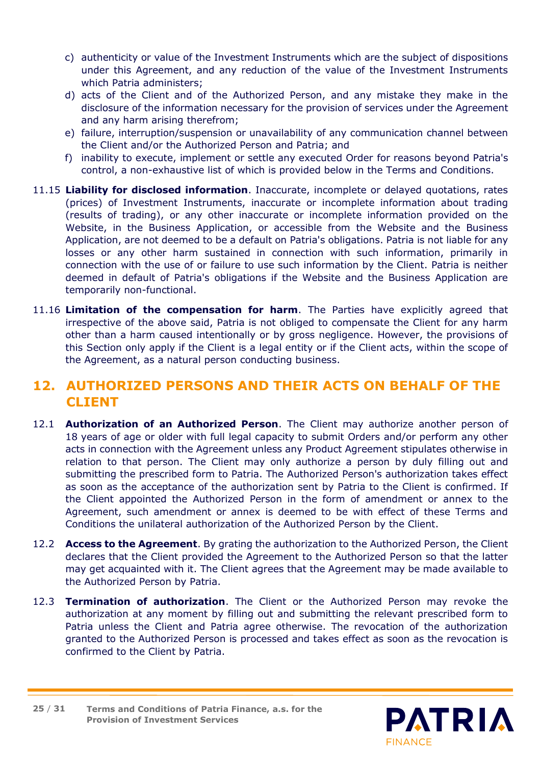- c) authenticity or value of the Investment Instruments which are the subject of dispositions under this Agreement, and any reduction of the value of the Investment Instruments which Patria administers;
- d) acts of the Client and of the Authorized Person, and any mistake they make in the disclosure of the information necessary for the provision of services under the Agreement and any harm arising therefrom;
- e) failure, interruption/suspension or unavailability of any communication channel between the Client and/or the Authorized Person and Patria; and
- f) inability to execute, implement or settle any executed Order for reasons beyond Patria's control, a non-exhaustive list of which is provided below in the Terms and Conditions.
- 11.15 **Liability for disclosed information**. Inaccurate, incomplete or delayed quotations, rates (prices) of Investment Instruments, inaccurate or incomplete information about trading (results of trading), or any other inaccurate or incomplete information provided on the Website, in the Business Application, or accessible from the Website and the Business Application, are not deemed to be a default on Patria's obligations. Patria is not liable for any losses or any other harm sustained in connection with such information, primarily in connection with the use of or failure to use such information by the Client. Patria is neither deemed in default of Patria's obligations if the Website and the Business Application are temporarily non-functional.
- 11.16 **Limitation of the compensation for harm**. The Parties have explicitly agreed that irrespective of the above said, Patria is not obliged to compensate the Client for any harm other than a harm caused intentionally or by gross negligence. However, the provisions of this Section only apply if the Client is a legal entity or if the Client acts, within the scope of the Agreement, as a natural person conducting business.

# <span id="page-24-0"></span>**12. AUTHORIZED PERSONS AND THEIR ACTS ON BEHALF OF THE CLIENT**

- 12.1 **Authorization of an Authorized Person**. The Client may authorize another person of 18 years of age or older with full legal capacity to submit Orders and/or perform any other acts in connection with the Agreement unless any Product Agreement stipulates otherwise in relation to that person. The Client may only authorize a person by duly filling out and submitting the prescribed form to Patria. The Authorized Person's authorization takes effect as soon as the acceptance of the authorization sent by Patria to the Client is confirmed. If the Client appointed the Authorized Person in the form of amendment or annex to the Agreement, such amendment or annex is deemed to be with effect of these Terms and Conditions the unilateral authorization of the Authorized Person by the Client.
- 12.2 **Access to the Agreement**. By grating the authorization to the Authorized Person, the Client declares that the Client provided the Agreement to the Authorized Person so that the latter may get acquainted with it. The Client agrees that the Agreement may be made available to the Authorized Person by Patria.
- 12.3 **Termination of authorization**. The Client or the Authorized Person may revoke the authorization at any moment by filling out and submitting the relevant prescribed form to Patria unless the Client and Patria agree otherwise. The revocation of the authorization granted to the Authorized Person is processed and takes effect as soon as the revocation is confirmed to the Client by Patria.

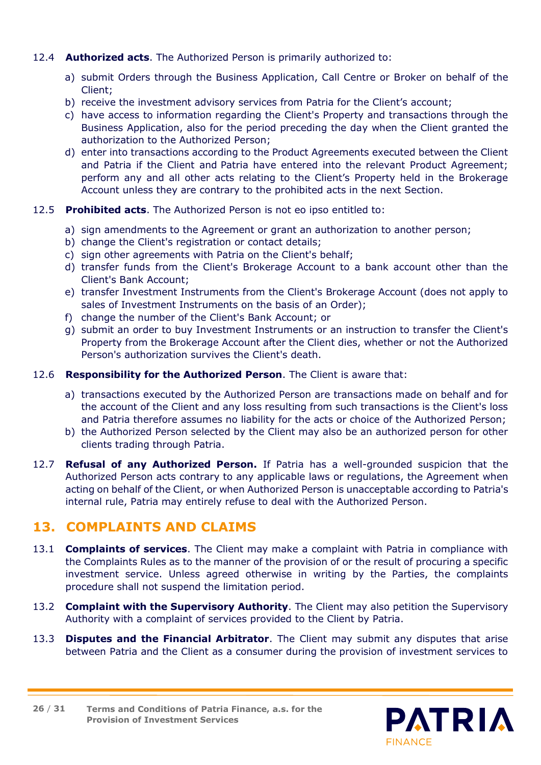#### 12.4 **Authorized acts**. The Authorized Person is primarily authorized to:

- a) submit Orders through the Business Application, Call Centre or Broker on behalf of the Client;
- b) receive the investment advisory services from Patria for the Client's account;
- c) have access to information regarding the Client's Property and transactions through the Business Application, also for the period preceding the day when the Client granted the authorization to the Authorized Person;
- d) enter into transactions according to the Product Agreements executed between the Client and Patria if the Client and Patria have entered into the relevant Product Agreement; perform any and all other acts relating to the Client's Property held in the Brokerage Account unless they are contrary to the prohibited acts in the next Section.

#### 12.5 **Prohibited acts**. The Authorized Person is not eo ipso entitled to:

- a) sign amendments to the Agreement or grant an authorization to another person;
- b) change the Client's registration or contact details;
- c) sign other agreements with Patria on the Client's behalf;
- d) transfer funds from the Client's Brokerage Account to a bank account other than the Client's Bank Account;
- e) transfer Investment Instruments from the Client's Brokerage Account (does not apply to sales of Investment Instruments on the basis of an Order);
- f) change the number of the Client's Bank Account; or
- g) submit an order to buy Investment Instruments or an instruction to transfer the Client's Property from the Brokerage Account after the Client dies, whether or not the Authorized Person's authorization survives the Client's death.

#### 12.6 **Responsibility for the Authorized Person**. The Client is aware that:

- a) transactions executed by the Authorized Person are transactions made on behalf and for the account of the Client and any loss resulting from such transactions is the Client's loss and Patria therefore assumes no liability for the acts or choice of the Authorized Person;
- b) the Authorized Person selected by the Client may also be an authorized person for other clients trading through Patria.
- 12.7 **Refusal of any Authorized Person.** If Patria has a well-grounded suspicion that the Authorized Person acts contrary to any applicable laws or regulations, the Agreement when acting on behalf of the Client, or when Authorized Person is unacceptable according to Patria's internal rule, Patria may entirely refuse to deal with the Authorized Person.

### <span id="page-25-0"></span>**13. COMPLAINTS AND CLAIMS**

- 13.1 **Complaints of services**. The Client may make a complaint with Patria in compliance with the Complaints Rules as to the manner of the provision of or the result of procuring a specific investment service. Unless agreed otherwise in writing by the Parties, the complaints procedure shall not suspend the limitation period.
- 13.2 **Complaint with the Supervisory Authority**. The Client may also petition the Supervisory Authority with a complaint of services provided to the Client by Patria.
- 13.3 **Disputes and the Financial Arbitrator**. The Client may submit any disputes that arise between Patria and the Client as a consumer during the provision of investment services to

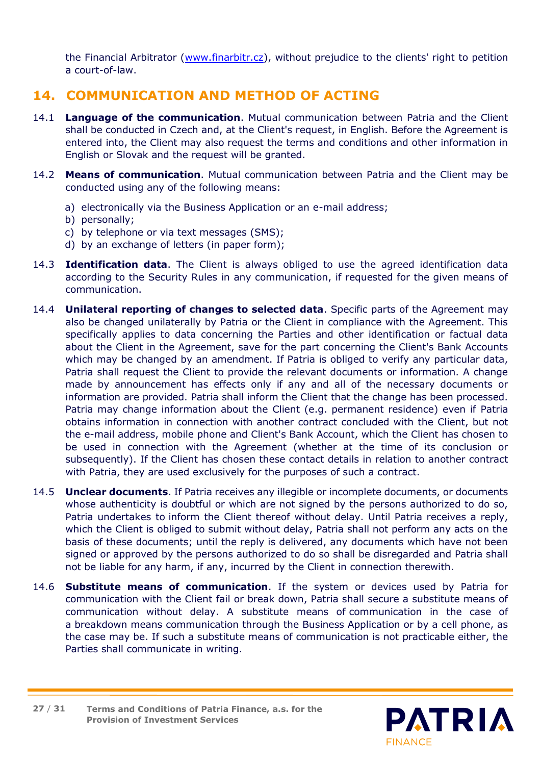the Financial Arbitrator [\(www.finarbitr.cz\)](http://www.finarbitr.cz/cs/), without prejudice to the clients' right to petition a court-of-law.

# <span id="page-26-0"></span>**14. COMMUNICATION AND METHOD OF ACTING**

- 14.1 **Language of the communication**. Mutual communication between Patria and the Client shall be conducted in Czech and, at the Client's request, in English. Before the Agreement is entered into, the Client may also request the terms and conditions and other information in English or Slovak and the request will be granted.
- 14.2 **Means of communication**. Mutual communication between Patria and the Client may be conducted using any of the following means:
	- a) electronically via the Business Application or an e-mail address;
	- b) personally;
	- c) by telephone or via text messages (SMS);
	- d) by an exchange of letters (in paper form);
- 14.3 **Identification data**. The Client is always obliged to use the agreed identification data according to the Security Rules in any communication, if requested for the given means of communication.
- 14.4 **Unilateral reporting of changes to selected data**. Specific parts of the Agreement may also be changed unilaterally by Patria or the Client in compliance with the Agreement. This specifically applies to data concerning the Parties and other identification or factual data about the Client in the Agreement, save for the part concerning the Client's Bank Accounts which may be changed by an amendment. If Patria is obliged to verify any particular data, Patria shall request the Client to provide the relevant documents or information. A change made by announcement has effects only if any and all of the necessary documents or information are provided. Patria shall inform the Client that the change has been processed. Patria may change information about the Client (e.g. permanent residence) even if Patria obtains information in connection with another contract concluded with the Client, but not the e-mail address, mobile phone and Client's Bank Account, which the Client has chosen to be used in connection with the Agreement (whether at the time of its conclusion or subsequently). If the Client has chosen these contact details in relation to another contract with Patria, they are used exclusively for the purposes of such a contract.
- 14.5 **Unclear documents**. If Patria receives any illegible or incomplete documents, or documents whose authenticity is doubtful or which are not signed by the persons authorized to do so, Patria undertakes to inform the Client thereof without delay. Until Patria receives a reply, which the Client is obliged to submit without delay, Patria shall not perform any acts on the basis of these documents; until the reply is delivered, any documents which have not been signed or approved by the persons authorized to do so shall be disregarded and Patria shall not be liable for any harm, if any, incurred by the Client in connection therewith.
- 14.6 **Substitute means of communication**. If the system or devices used by Patria for communication with the Client fail or break down, Patria shall secure a substitute means of communication without delay. A substitute means of communication in the case of a breakdown means communication through the Business Application or by a cell phone, as the case may be. If such a substitute means of communication is not practicable either, the Parties shall communicate in writing.

**Terms and Conditions of Patria Finance, a.s. for the Provision of Investment Services 27** / **31**

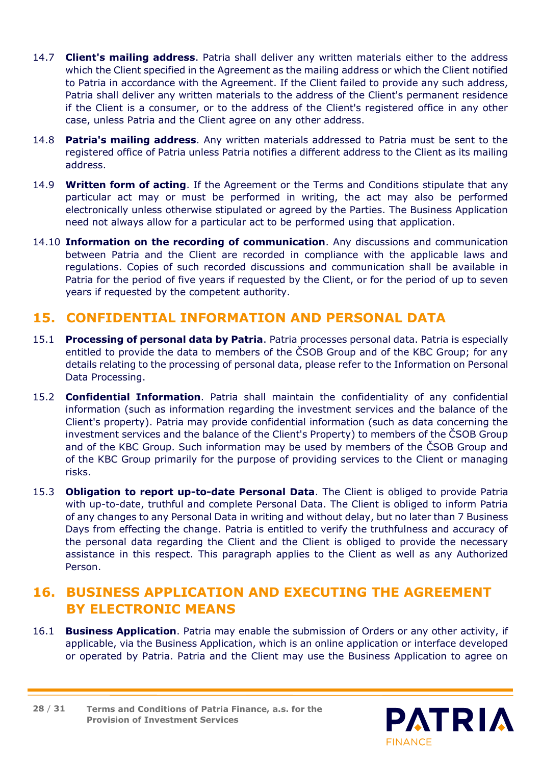- 14.7 **Client's mailing address**. Patria shall deliver any written materials either to the address which the Client specified in the Agreement as the mailing address or which the Client notified to Patria in accordance with the Agreement. If the Client failed to provide any such address, Patria shall deliver any written materials to the address of the Client's permanent residence if the Client is a consumer, or to the address of the Client's registered office in any other case, unless Patria and the Client agree on any other address.
- 14.8 **Patria's mailing address**. Any written materials addressed to Patria must be sent to the registered office of Patria unless Patria notifies a different address to the Client as its mailing address.
- 14.9 **Written form of acting**. If the Agreement or the Terms and Conditions stipulate that any particular act may or must be performed in writing, the act may also be performed electronically unless otherwise stipulated or agreed by the Parties. The Business Application need not always allow for a particular act to be performed using that application.
- 14.10 **Information on the recording of communication**. Any discussions and communication between Patria and the Client are recorded in compliance with the applicable laws and regulations. Copies of such recorded discussions and communication shall be available in Patria for the period of five years if requested by the Client, or for the period of up to seven years if requested by the competent authority.

# <span id="page-27-0"></span>**15. CONFIDENTIAL INFORMATION AND PERSONAL DATA**

- 15.1 **Processing of personal data by Patria**. Patria processes personal data. Patria is especially entitled to provide the data to members of the ČSOB Group and of the KBC Group; for any details relating to the processing of personal data, please refer to the Information on Personal Data Processing.
- 15.2 **Confidential Information**. Patria shall maintain the confidentiality of any confidential information (such as information regarding the investment services and the balance of the Client's property). Patria may provide confidential information (such as data concerning the investment services and the balance of the Client's Property) to members of the ČSOB Group and of the KBC Group. Such information may be used by members of the ČSOB Group and of the KBC Group primarily for the purpose of providing services to the Client or managing risks.
- 15.3 **Obligation to report up-to-date Personal Data**. The Client is obliged to provide Patria with up-to-date, truthful and complete Personal Data. The Client is obliged to inform Patria of any changes to any Personal Data in writing and without delay, but no later than 7 Business Days from effecting the change. Patria is entitled to verify the truthfulness and accuracy of the personal data regarding the Client and the Client is obliged to provide the necessary assistance in this respect. This paragraph applies to the Client as well as any Authorized Person.

# <span id="page-27-1"></span>**16. BUSINESS APPLICATION AND EXECUTING THE AGREEMENT BY ELECTRONIC MEANS**

16.1 **Business Application**. Patria may enable the submission of Orders or any other activity, if applicable, via the Business Application, which is an online application or interface developed or operated by Patria. Patria and the Client may use the Business Application to agree on

**Terms and Conditions of Patria Finance, a.s. for the Provision of Investment Services 28** / **31**

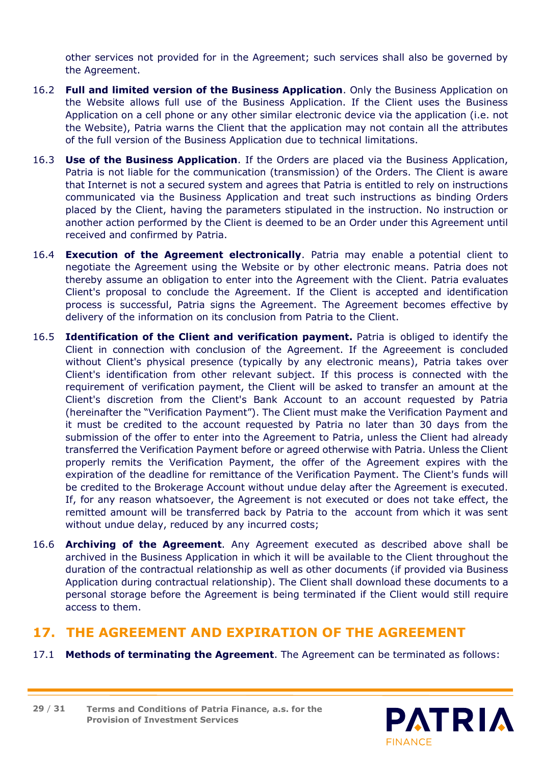other services not provided for in the Agreement; such services shall also be governed by the Agreement.

- 16.2 **Full and limited version of the Business Application**. Only the Business Application on the Website allows full use of the Business Application. If the Client uses the Business Application on a cell phone or any other similar electronic device via the application (i.e. not the Website), Patria warns the Client that the application may not contain all the attributes of the full version of the Business Application due to technical limitations.
- 16.3 **Use of the Business Application**. If the Orders are placed via the Business Application, Patria is not liable for the communication (transmission) of the Orders. The Client is aware that Internet is not a secured system and agrees that Patria is entitled to rely on instructions communicated via the Business Application and treat such instructions as binding Orders placed by the Client, having the parameters stipulated in the instruction. No instruction or another action performed by the Client is deemed to be an Order under this Agreement until received and confirmed by Patria.
- 16.4 **Execution of the Agreement electronically**. Patria may enable a potential client to negotiate the Agreement using the Website or by other electronic means. Patria does not thereby assume an obligation to enter into the Agreement with the Client. Patria evaluates Client's proposal to conclude the Agreement. If the Client is accepted and identification process is successful, Patria signs the Agreement. The Agreement becomes effective by delivery of the information on its conclusion from Patria to the Client.
- 16.5 **Identification of the Client and verification payment.** Patria is obliged to identify the Client in connection with conclusion of the Agreement. If the Agreeement is concluded without Client's physical presence (typically by any electronic means), Patria takes over Client's identification from other relevant subject. If this process is connected with the requirement of verification payment, the Client will be asked to transfer an amount at the Client's discretion from the Client's Bank Account to an account requested by Patria (hereinafter the "Verification Payment"). The Client must make the Verification Payment and it must be credited to the account requested by Patria no later than 30 days from the submission of the offer to enter into the Agreement to Patria, unless the Client had already transferred the Verification Payment before or agreed otherwise with Patria. Unless the Client properly remits the Verification Payment, the offer of the Agreement expires with the expiration of the deadline for remittance of the Verification Payment. The Client's funds will be credited to the Brokerage Account without undue delay after the Agreement is executed. If, for any reason whatsoever, the Agreement is not executed or does not take effect, the remitted amount will be transferred back by Patria to the account from which it was sent without undue delay, reduced by any incurred costs;
- 16.6 **Archiving of the Agreement**. Any Agreement executed as described above shall be archived in the Business Application in which it will be available to the Client throughout the duration of the contractual relationship as well as other documents (if provided via Business Application during contractual relationship). The Client shall download these documents to a personal storage before the Agreement is being terminated if the Client would still require access to them.

### <span id="page-28-0"></span>**17. THE AGREEMENT AND EXPIRATION OF THE AGREEMENT**

17.1 **Methods of terminating the Agreement**. The Agreement can be terminated as follows:

**Terms and Conditions of Patria Finance, a.s. for the Provision of Investment Services 29** / **31**

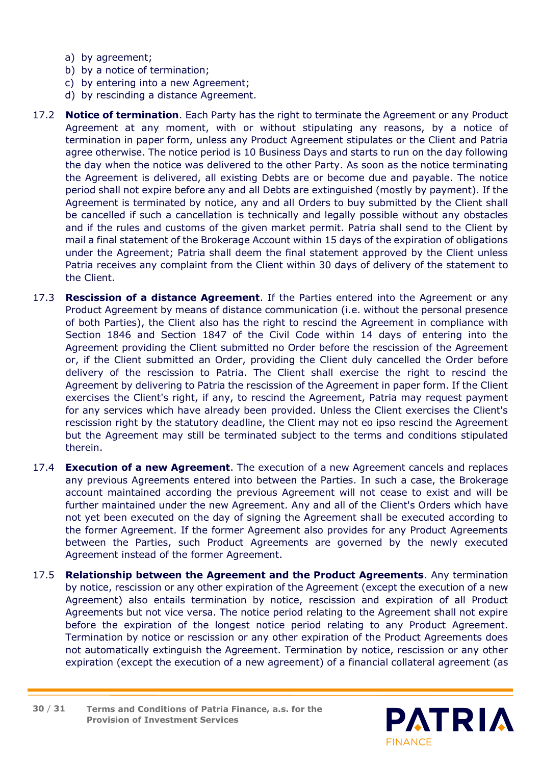- a) by agreement;
- b) by a notice of termination;
- c) by entering into a new Agreement;
- d) by rescinding a distance Agreement.
- 17.2 **Notice of termination**. Each Party has the right to terminate the Agreement or any Product Agreement at any moment, with or without stipulating any reasons, by a notice of termination in paper form, unless any Product Agreement stipulates or the Client and Patria agree otherwise. The notice period is 10 Business Days and starts to run on the day following the day when the notice was delivered to the other Party. As soon as the notice terminating the Agreement is delivered, all existing Debts are or become due and payable. The notice period shall not expire before any and all Debts are extinguished (mostly by payment). If the Agreement is terminated by notice, any and all Orders to buy submitted by the Client shall be cancelled if such a cancellation is technically and legally possible without any obstacles and if the rules and customs of the given market permit. Patria shall send to the Client by mail a final statement of the Brokerage Account within 15 days of the expiration of obligations under the Agreement; Patria shall deem the final statement approved by the Client unless Patria receives any complaint from the Client within 30 days of delivery of the statement to the Client.
- 17.3 **Rescission of a distance Agreement**. If the Parties entered into the Agreement or any Product Agreement by means of distance communication (i.e. without the personal presence of both Parties), the Client also has the right to rescind the Agreement in compliance with Section 1846 and Section 1847 of the Civil Code within 14 days of entering into the Agreement providing the Client submitted no Order before the rescission of the Agreement or, if the Client submitted an Order, providing the Client duly cancelled the Order before delivery of the rescission to Patria. The Client shall exercise the right to rescind the Agreement by delivering to Patria the rescission of the Agreement in paper form. If the Client exercises the Client's right, if any, to rescind the Agreement, Patria may request payment for any services which have already been provided. Unless the Client exercises the Client's rescission right by the statutory deadline, the Client may not eo ipso rescind the Agreement but the Agreement may still be terminated subject to the terms and conditions stipulated therein.
- 17.4 **Execution of a new Agreement**. The execution of a new Agreement cancels and replaces any previous Agreements entered into between the Parties. In such a case, the Brokerage account maintained according the previous Agreement will not cease to exist and will be further maintained under the new Agreement. Any and all of the Client's Orders which have not yet been executed on the day of signing the Agreement shall be executed according to the former Agreement. If the former Agreement also provides for any Product Agreements between the Parties, such Product Agreements are governed by the newly executed Agreement instead of the former Agreement.
- 17.5 **Relationship between the Agreement and the Product Agreements**. Any termination by notice, rescission or any other expiration of the Agreement (except the execution of a new Agreement) also entails termination by notice, rescission and expiration of all Product Agreements but not vice versa. The notice period relating to the Agreement shall not expire before the expiration of the longest notice period relating to any Product Agreement. Termination by notice or rescission or any other expiration of the Product Agreements does not automatically extinguish the Agreement. Termination by notice, rescission or any other expiration (except the execution of a new agreement) of a financial collateral agreement (as

**Terms and Conditions of Patria Finance, a.s. for the Provision of Investment Services 30** / **31**